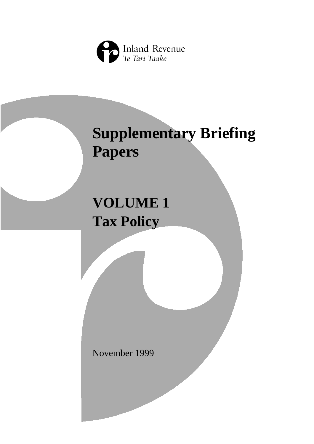

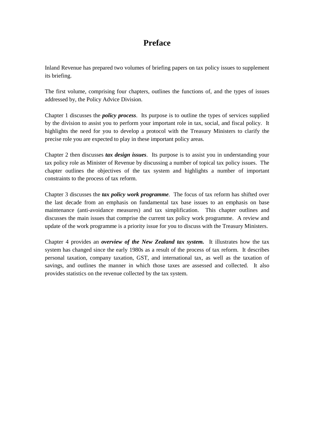# **Preface**

Inland Revenue has prepared two volumes of briefing papers on tax policy issues to supplement its briefing.

The first volume, comprising four chapters, outlines the functions of, and the types of issues addressed by, the Policy Advice Division.

Chapter 1 discusses the *policy process*. Its purpose is to outline the types of services supplied by the division to assist you to perform your important role in tax, social, and fiscal policy. It highlights the need for you to develop a protocol with the Treasury Ministers to clarify the precise role you are expected to play in these important policy areas.

Chapter 2 then discusses *tax design issues*. Its purpose is to assist you in understanding your tax policy role as Minister of Revenue by discussing a number of topical tax policy issues. The chapter outlines the objectives of the tax system and highlights a number of important constraints to the process of tax reform.

Chapter 3 discusses the *tax policy work programme*. The focus of tax reform has shifted over the last decade from an emphasis on fundamental tax base issues to an emphasis on base maintenance (anti-avoidance measures) and tax simplification. This chapter outlines and discusses the main issues that comprise the current tax policy work programme. A review and update of the work programme is a priority issue for you to discuss with the Treasury Ministers.

Chapter 4 provides an *overview of the New Zealand tax system.* It illustrates how the tax system has changed since the early 1980s as a result of the process of tax reform. It describes personal taxation, company taxation, GST, and international tax, as well as the taxation of savings, and outlines the manner in which those taxes are assessed and collected. It also provides statistics on the revenue collected by the tax system.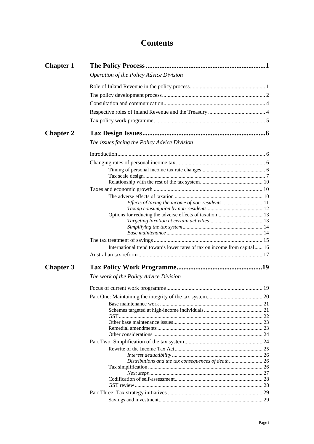| <b>Chapter 1</b> |                                                                          |  |
|------------------|--------------------------------------------------------------------------|--|
|                  | Operation of the Policy Advice Division                                  |  |
|                  |                                                                          |  |
|                  |                                                                          |  |
|                  |                                                                          |  |
|                  |                                                                          |  |
|                  |                                                                          |  |
|                  |                                                                          |  |
| <b>Chapter 2</b> |                                                                          |  |
|                  | The issues facing the Policy Advice Division                             |  |
|                  |                                                                          |  |
|                  |                                                                          |  |
|                  |                                                                          |  |
|                  |                                                                          |  |
|                  |                                                                          |  |
|                  |                                                                          |  |
|                  |                                                                          |  |
|                  |                                                                          |  |
|                  |                                                                          |  |
|                  |                                                                          |  |
|                  |                                                                          |  |
|                  |                                                                          |  |
|                  |                                                                          |  |
|                  |                                                                          |  |
|                  | International trend towards lower rates of tax on income from capital 16 |  |
|                  |                                                                          |  |
| <b>Chapter 3</b> |                                                                          |  |
|                  | The work of the Policy Advice Division                                   |  |
|                  |                                                                          |  |
|                  |                                                                          |  |
|                  |                                                                          |  |
|                  |                                                                          |  |
|                  |                                                                          |  |
|                  |                                                                          |  |
|                  |                                                                          |  |
|                  |                                                                          |  |
|                  |                                                                          |  |
|                  |                                                                          |  |
|                  |                                                                          |  |
|                  | Distributions and the tax consequences of death 26                       |  |
|                  |                                                                          |  |
|                  |                                                                          |  |
|                  |                                                                          |  |
|                  |                                                                          |  |
|                  |                                                                          |  |
|                  |                                                                          |  |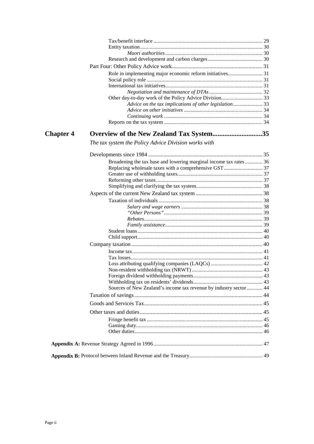| <b>Chapter 4</b> | Overview of the New Zealand Tax System35                           |  |
|------------------|--------------------------------------------------------------------|--|
|                  | The tax system the Policy Advice Division works with               |  |
|                  |                                                                    |  |
|                  | Broadening the tax base and lowering marginal income tax rates  36 |  |
|                  |                                                                    |  |
|                  |                                                                    |  |
|                  |                                                                    |  |
|                  |                                                                    |  |
|                  |                                                                    |  |
|                  |                                                                    |  |
|                  |                                                                    |  |
|                  |                                                                    |  |
|                  |                                                                    |  |
|                  |                                                                    |  |
|                  |                                                                    |  |
|                  |                                                                    |  |
|                  |                                                                    |  |
|                  |                                                                    |  |
|                  |                                                                    |  |
|                  |                                                                    |  |
|                  |                                                                    |  |
|                  |                                                                    |  |
|                  | Sources of New Zealand's income tax revenue by industry sector 44  |  |
|                  |                                                                    |  |
|                  |                                                                    |  |
|                  |                                                                    |  |
|                  |                                                                    |  |
|                  |                                                                    |  |
|                  |                                                                    |  |
|                  |                                                                    |  |
|                  |                                                                    |  |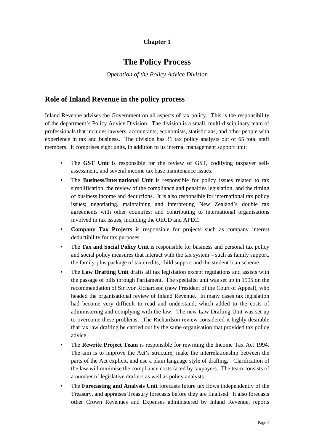## **Chapter 1**

# **The Policy Process**

*Operation of the Policy Advice Division*

## <span id="page-6-0"></span>**Role of Inland Revenue in the policy process**

Inland Revenue advises the Government on all aspects of tax policy. This is the responsibility of the department's Policy Advice Division. The division is a small, multi-disciplinary team of professionals that includes lawyers, accountants, economists, statisticians, and other people with experience in tax and business. The division has 31 tax policy analysts out of 65 total staff members. It comprises eight units, in addition to its internal management support unit:

- The **GST Unit** is responsible for the review of GST, codifying taxpayer selfassessment, and several income tax base maintenance issues.
- The **Business/International Unit** is responsible for policy issues related to tax simplification, the review of the compliance and penalties legislation, and the timing of business income and deductions. It is also responsible for international tax policy issues; negotiating, maintaining and interpreting New Zealand's double tax agreements with other countries; and contributing to international organisations involved in tax issues, including the OECD and APEC.
- **Company Tax Projects** is responsible for projects such as company interest deductibility for tax purposes.
- The **Tax and Social Policy Unit** is responsible for business and personal tax policy and social policy measures that interact with the tax system – such as family support, the family-plus package of tax credits, child support and the student loan scheme.
- The **Law Drafting Unit** drafts all tax legislation except regulations and assists with the passage of bills through Parliament. The specialist unit was set up in 1995 on the recommendation of Sir Ivor Richardson (now President of the Court of Appeal), who headed the organisational review of Inland Revenue. In many cases tax legislation had become very difficult to read and understand, which added to the costs of administering and complying with the law. The new Law Drafting Unit was set up to overcome these problems. The Richardson review considered it highly desirable that tax law drafting be carried out by the same organisation that provided tax policy advice.
- The **Rewrite Project Team** is responsible for rewriting the Income Tax Act 1994. The aim is to improve the Act's structure, make the interrelationship between the parts of the Act explicit, and use a plain language style of drafting. Clarification of the law will minimise the compliance costs faced by taxpayers. The team consists of a number of legislative drafters as well as policy analysts.
- The **Forecasting and Analysis Unit** forecasts future tax flows independently of the Treasury, and appraises Treasury forecasts before they are finalised. It also forecasts other Crown Revenues and Expenses administered by Inland Revenue, reports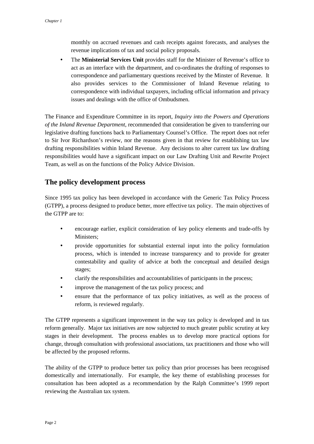<span id="page-7-0"></span>monthly on accrued revenues and cash receipts against forecasts, and analyses the revenue implications of tax and social policy proposals.

• The **Ministerial Services Unit** provides staff for the Minister of Revenue's office to act as an interface with the department, and co-ordinates the drafting of responses to correspondence and parliamentary questions received by the Minster of Revenue. It also provides services to the Commissioner of Inland Revenue relating to correspondence with individual taxpayers, including official information and privacy issues and dealings with the office of Ombudsmen.

The Finance and Expenditure Committee in its report, *Inquiry into the Powers and Operations of the Inland Revenue Department*, recommended that consideration be given to transferring our legislative drafting functions back to Parliamentary Counsel's Office. The report does not refer to Sir Ivor Richardson's review, nor the reasons given in that review for establishing tax law drafting responsibilities within Inland Revenue. Any decisions to alter current tax law drafting responsibilities would have a significant impact on our Law Drafting Unit and Rewrite Project Team, as well as on the functions of the Policy Advice Division.

## **The policy development process**

Since 1995 tax policy has been developed in accordance with the Generic Tax Policy Process (GTPP), a process designed to produce better, more effective tax policy. The main objectives of the GTPP are to:

- encourage earlier, explicit consideration of key policy elements and trade-offs by Ministers;
- provide opportunities for substantial external input into the policy formulation process, which is intended to increase transparency and to provide for greater contestability and quality of advice at both the conceptual and detailed design stages;
- clarify the responsibilities and accountabilities of participants in the process;
- improve the management of the tax policy process; and
- ensure that the performance of tax policy initiatives, as well as the process of reform, is reviewed regularly.

The GTPP represents a significant improvement in the way tax policy is developed and in tax reform generally. Major tax initiatives are now subjected to much greater public scrutiny at key stages in their development. The process enables us to develop more practical options for change, through consultation with professional associations, tax practitioners and those who will be affected by the proposed reforms.

The ability of the GTPP to produce better tax policy than prior processes has been recognised domestically and internationally. For example, the key theme of establishing processes for consultation has been adopted as a recommendation by the Ralph Committee's 1999 report reviewing the Australian tax system.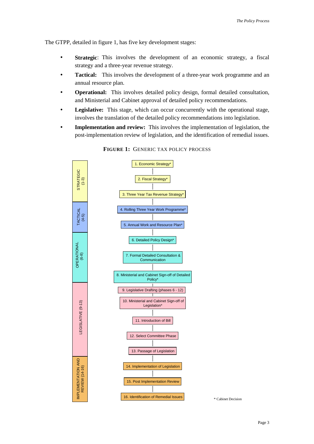The GTPP, detailed in figure 1, has five key development stages:

- **Strategic**: This involves the development of an economic strategy, a fiscal strategy and a three-year revenue strategy.
- **Tactical:** This involves the development of a three-year work programme and an annual resource plan.
- **Operational:** This involves detailed policy design, formal detailed consultation, and Ministerial and Cabinet approval of detailed policy recommendations.
- Legislative: This stage, which can occur concurrently with the operational stage, involves the translation of the detailed policy recommendations into legislation.
- **Implementation and review:** This involves the implementation of legislation, the post-implementation review of legislation, and the identification of remedial issues.



**FIGURE 1:** GENERIC TAX POLICY PROCESS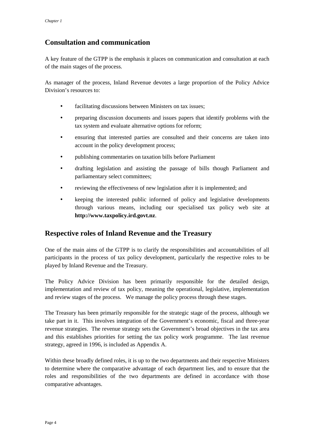## <span id="page-9-0"></span>**Consultation and communication**

A key feature of the GTPP is the emphasis it places on communication and consultation at each of the main stages of the process.

As manager of the process, Inland Revenue devotes a large proportion of the Policy Advice Division's resources to:

- facilitating discussions between Ministers on tax issues;
- preparing discussion documents and issues papers that identify problems with the tax system and evaluate alternative options for reform;
- ensuring that interested parties are consulted and their concerns are taken into account in the policy development process;
- publishing commentaries on taxation bills before Parliament
- drafting legislation and assisting the passage of bills though Parliament and parliamentary select committees;
- reviewing the effectiveness of new legislation after it is implemented; and
- keeping the interested public informed of policy and legislative developments through various means, including our specialised tax policy web site at **http://www.taxpolicy.ird.govt.nz**.

## **Respective roles of Inland Revenue and the Treasury**

One of the main aims of the GTPP is to clarify the responsibilities and accountabilities of all participants in the process of tax policy development, particularly the respective roles to be played by Inland Revenue and the Treasury.

The Policy Advice Division has been primarily responsible for the detailed design, implementation and review of tax policy, meaning the operational, legislative, implementation and review stages of the process. We manage the policy process through these stages.

The Treasury has been primarily responsible for the strategic stage of the process, although we take part in it. This involves integration of the Government's economic, fiscal and three-year revenue strategies. The revenue strategy sets the Government's broad objectives in the tax area and this establishes priorities for setting the tax policy work programme. The last revenue strategy, agreed in 1996, is included as Appendix A.

Within these broadly defined roles, it is up to the two departments and their respective Ministers to determine where the comparative advantage of each department lies, and to ensure that the roles and responsibilities of the two departments are defined in accordance with those comparative advantages.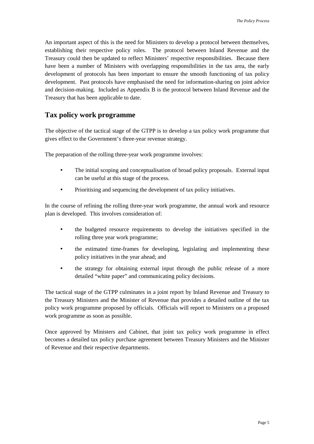<span id="page-10-0"></span>An important aspect of this is the need for Ministers to develop a protocol between themselves, establishing their respective policy roles. The protocol between Inland Revenue and the Treasury could then be updated to reflect Ministers' respective responsibilities. Because there have been a number of Ministers with overlapping responsibilities in the tax area, the early development of protocols has been important to ensure the smooth functioning of tax policy development. Past protocols have emphasised the need for information-sharing on joint advice and decision-making. Included as Appendix B is the protocol between Inland Revenue and the Treasury that has been applicable to date.

## **Tax policy work programme**

The objective of the tactical stage of the GTPP is to develop a tax policy work programme that gives effect to the Government's three-year revenue strategy.

The preparation of the rolling three-year work programme involves:

- The initial scoping and conceptualisation of broad policy proposals. External input can be useful at this stage of the process.
- Prioritising and sequencing the development of tax policy initiatives.

In the course of refining the rolling three-year work programme, the annual work and resource plan is developed. This involves consideration of:

- the budgeted resource requirements to develop the initiatives specified in the rolling three year work programme;
- the estimated time-frames for developing, legislating and implementing these policy initiatives in the year ahead; and
- the strategy for obtaining external input through the public release of a more detailed "white paper" and communicating policy decisions.

The tactical stage of the GTPP culminates in a joint report by Inland Revenue and Treasury to the Treasury Ministers and the Minister of Revenue that provides a detailed outline of the tax policy work programme proposed by officials. Officials will report to Ministers on a proposed work programme as soon as possible.

Once approved by Ministers and Cabinet, that joint tax policy work programme in effect becomes a detailed tax policy purchase agreement between Treasury Ministers and the Minister of Revenue and their respective departments.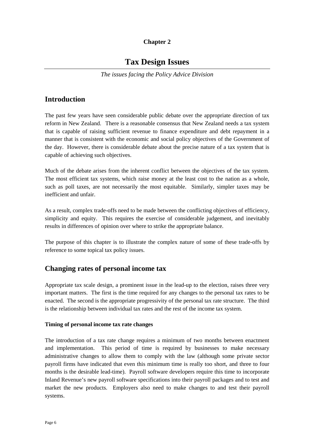## **Chapter 2**

# **Tax Design Issues**

*The issues facing the Policy Advice Division*

## <span id="page-11-0"></span>**Introduction**

The past few years have seen considerable public debate over the appropriate direction of tax reform in New Zealand.There is a reasonable consensus that New Zealand needs a tax system that is capable of raising sufficient revenue to finance expenditure and debt repayment in a manner that is consistent with the economic and social policy objectives of the Government of the day. However, there is considerable debate about the precise nature of a tax system that is capable of achieving such objectives.

Much of the debate arises from the inherent conflict between the objectives of the tax system. The most efficient tax systems, which raise money at the least cost to the nation as a whole, such as poll taxes, are not necessarily the most equitable. Similarly, simpler taxes may be inefficient and unfair.

As a result, complex trade-offs need to be made between the conflicting objectives of efficiency, simplicity and equity. This requires the exercise of considerable judgement, and inevitably results in differences of opinion over where to strike the appropriate balance.

The purpose of this chapter is to illustrate the complex nature of some of these trade-offs by reference to some topical tax policy issues.

## **Changing rates of personal income tax**

Appropriate tax scale design, a prominent issue in the lead-up to the election, raises three very important matters. The first is the time required for any changes to the personal tax rates to be enacted. The second is the appropriate progressivity of the personal tax rate structure. The third is the relationship between individual tax rates and the rest of the income tax system.

## **Timing of personal income tax rate changes**

The introduction of a tax rate change requires a minimum of two months between enactment and implementation. This period of time is required by businesses to make necessary administrative changes to allow them to comply with the law (although some private sector payroll firms have indicated that even this minimum time is really too short, and three to four months is the desirable lead-time). Payroll software developers require this time to incorporate Inland Revenue's new payroll software specifications into their payroll packages and to test and market the new products. Employers also need to make changes to and test their payroll systems.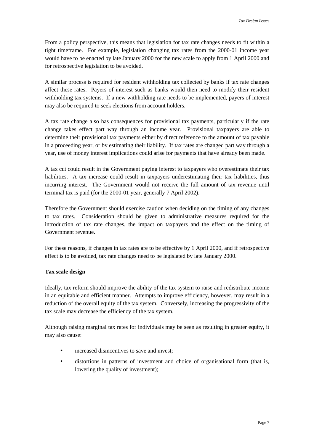<span id="page-12-0"></span>From a policy perspective, this means that legislation for tax rate changes needs to fit within a tight timeframe. For example, legislation changing tax rates from the 2000-01 income year would have to be enacted by late January 2000 for the new scale to apply from 1 April 2000 and for retrospective legislation to be avoided.

A similar process is required for resident withholding tax collected by banks if tax rate changes affect these rates. Payers of interest such as banks would then need to modify their resident withholding tax systems. If a new withholding rate needs to be implemented, payers of interest may also be required to seek elections from account holders.

A tax rate change also has consequences for provisional tax payments, particularly if the rate change takes effect part way through an income year. Provisional taxpayers are able to determine their provisional tax payments either by direct reference to the amount of tax payable in a proceeding year, or by estimating their liability. If tax rates are changed part way through a year, use of money interest implications could arise for payments that have already been made.

A tax cut could result in the Government paying interest to taxpayers who overestimate their tax liabilities. A tax increase could result in taxpayers underestimating their tax liabilities, thus incurring interest. The Government would not receive the full amount of tax revenue until terminal tax is paid (for the 2000-01 year, generally 7 April 2002).

Therefore the Government should exercise caution when deciding on the timing of any changes to tax rates. Consideration should be given to administrative measures required for the introduction of tax rate changes, the impact on taxpayers and the effect on the timing of Government revenue.

For these reasons, if changes in tax rates are to be effective by 1 April 2000, and if retrospective effect is to be avoided, tax rate changes need to be legislated by late January 2000.

### **Tax scale design**

Ideally, tax reform should improve the ability of the tax system to raise and redistribute income in an equitable and efficient manner. Attempts to improve efficiency, however, may result in a reduction of the overall equity of the tax system. Conversely, increasing the progressivity of the tax scale may decrease the efficiency of the tax system.

Although raising marginal tax rates for individuals may be seen as resulting in greater equity, it may also cause:

- increased disincentives to save and invest:
- distortions in patterns of investment and choice of organisational form (that is, lowering the quality of investment);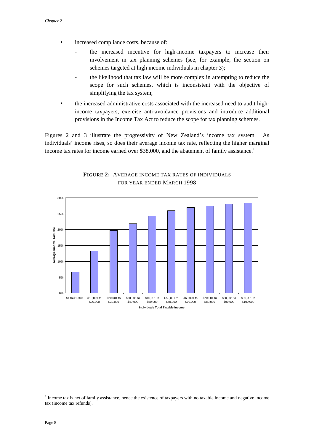- increased compliance costs, because of:
	- the increased incentive for high-income taxpayers to increase their involvement in tax planning schemes (see, for example, the section on schemes targeted at high income individuals in chapter 3);
	- the likelihood that tax law will be more complex in attempting to reduce the scope for such schemes, which is inconsistent with the objective of simplifying the tax system;
- the increased administrative costs associated with the increased need to audit highincome taxpayers, exercise anti-avoidance provisions and introduce additional provisions in the Income Tax Act to reduce the scope for tax planning schemes.

Figures 2 and 3 illustrate the progressivity of New Zealand's income tax system. As individuals' income rises, so does their average income tax rate, reflecting the higher marginal income tax rates for income earned over  $$38,000$ , and the abatement of family assistance.<sup>1</sup>



**FIGURE 2:** AVERAGE INCOME TAX RATES OF INDIVIDUALS FOR YEAR ENDED MARCH 1998

 $\overline{a}$ 

 $1$  Income tax is net of family assistance, hence the existence of taxpayers with no taxable income and negative income tax (income tax refunds).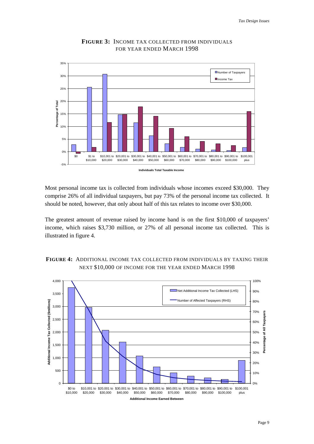

## **FIGURE 3:** INCOME TAX COLLECTED FROM INDIVIDUALS FOR YEAR ENDED MARCH 1998

Most personal income tax is collected from individuals whose incomes exceed \$30,000. They comprise 26% of all individual taxpayers, but pay 73% of the personal income tax collected. It should be noted, however, that only about half of this tax relates to income over \$30,000.

The greatest amount of revenue raised by income band is on the first \$10,000 of taxpayers' income, which raises \$3,730 million, or 27% of all personal income tax collected. This is illustrated in figure 4.



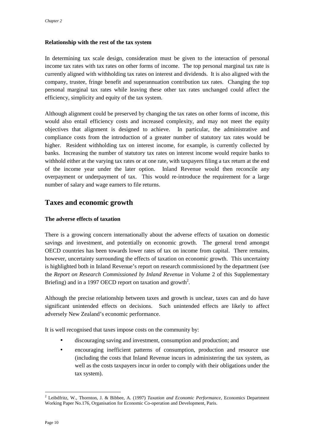### <span id="page-15-0"></span>**Relationship with the rest of the tax system**

In determining tax scale design, consideration must be given to the interaction of personal income tax rates with tax rates on other forms of income. The top personal marginal tax rate is currently aligned with withholding tax rates on interest and dividends. It is also aligned with the company, trustee, fringe benefit and superannuation contribution tax rates. Changing the top personal marginal tax rates while leaving these other tax rates unchanged could affect the efficiency, simplicity and equity of the tax system.

Although alignment could be preserved by changing the tax rates on other forms of income, this would also entail efficiency costs and increased complexity, and may not meet the equity objectives that alignment is designed to achieve. In particular, the administrative and compliance costs from the introduction of a greater number of statutory tax rates would be higher. Resident withholding tax on interest income, for example, is currently collected by banks. Increasing the number of statutory tax rates on interest income would require banks to withhold either at the varying tax rates or at one rate, with taxpayers filing a tax return at the end of the income year under the later option. Inland Revenue would then reconcile any overpayment or underpayment of tax. This would re-introduce the requirement for a large number of salary and wage earners to file returns.

## **Taxes and economic growth**

## **The adverse effects of taxation**

There is a growing concern internationally about the adverse effects of taxation on domestic savings and investment, and potentially on economic growth. The general trend amongst OECD countries has been towards lower rates of tax on income from capital. There remains, however, uncertainty surrounding the effects of taxation on economic growth. This uncertainty is highlighted both in Inland Revenue's report on research commissioned by the department (see the *Report on Research Commissioned by Inland Revenue* in Volume 2 of this Supplementary Briefing) and in a 1997 OECD report on taxation and growth<sup>2</sup>.

Although the precise relationship between taxes and growth is unclear, taxes can and do have significant unintended effects on decisions. Such unintended effects are likely to affect adversely New Zealand's economic performance.

It is well recognised that taxes impose costs on the community by:

- discouraging saving and investment, consumption and production; and
- encouraging inefficient patterns of consumption, production and resource use (including the costs that Inland Revenue incurs in administering the tax system, as well as the costs taxpayers incur in order to comply with their obligations under the tax system).

 $\overline{a}$ 

<sup>2</sup> Leibdfritz, W., Thornton, J. & Bibbee, A. (1997) *Taxation and Economic Performance*, Economics Department Working Paper No.176, Organisation for Economic Co-operation and Development, Paris.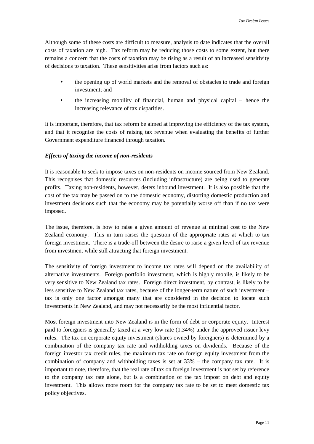<span id="page-16-0"></span>Although some of these costs are difficult to measure, analysis to date indicates that the overall costs of taxation are high. Tax reform may be reducing those costs to some extent, but there remains a concern that the costs of taxation may be rising as a result of an increased sensitivity of decisions to taxation. These sensitivities arise from factors such as:

- the opening up of world markets and the removal of obstacles to trade and foreign investment; and
- the increasing mobility of financial, human and physical capital hence the increasing relevance of tax disparities.

It is important, therefore, that tax reform be aimed at improving the efficiency of the tax system, and that it recognise the costs of raising tax revenue when evaluating the benefits of further Government expenditure financed through taxation.

## *Effects of taxing the income of non-residents*

It is reasonable to seek to impose taxes on non-residents on income sourced from New Zealand. This recognises that domestic resources (including infrastructure) are being used to generate profits. Taxing non-residents, however, deters inbound investment. It is also possible that the cost of the tax may be passed on to the domestic economy, distorting domestic production and investment decisions such that the economy may be potentially worse off than if no tax were imposed.

The issue, therefore, is how to raise a given amount of revenue at minimal cost to the New Zealand economy. This in turn raises the question of the appropriate rates at which to tax foreign investment. There is a trade-off between the desire to raise a given level of tax revenue from investment while still attracting that foreign investment.

The sensitivity of foreign investment to income tax rates will depend on the availability of alternative investments. Foreign portfolio investment, which is highly mobile, is likely to be very sensitive to New Zealand tax rates. Foreign direct investment, by contrast, is likely to be less sensitive to New Zealand tax rates, because of the longer-term nature of such investment – tax is only one factor amongst many that are considered in the decision to locate such investments in New Zealand, and may not necessarily be the most influential factor.

Most foreign investment into New Zealand is in the form of debt or corporate equity. Interest paid to foreigners is generally taxed at a very low rate (1.34%) under the approved issuer levy rules. The tax on corporate equity investment (shares owned by foreigners) is determined by a combination of the company tax rate and withholding taxes on dividends. Because of the foreign investor tax credit rules, the maximum tax rate on foreign equity investment from the combination of company and withholding taxes is set at 33% – the company tax rate. It is important to note, therefore, that the real rate of tax on foreign investment is not set by reference to the company tax rate alone, but is a combination of the tax impost on debt and equity investment. This allows more room for the company tax rate to be set to meet domestic tax policy objectives.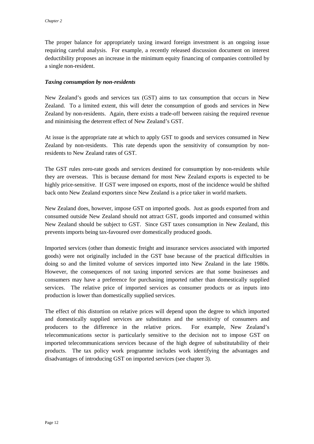<span id="page-17-0"></span>The proper balance for appropriately taxing inward foreign investment is an ongoing issue requiring careful analysis. For example, a recently released discussion document on interest deductibility proposes an increase in the minimum equity financing of companies controlled by a single non-resident.

### *Taxing consumption by non-residents*

New Zealand's goods and services tax (GST) aims to tax consumption that occurs in New Zealand. To a limited extent, this will deter the consumption of goods and services in New Zealand by non-residents. Again, there exists a trade-off between raising the required revenue and minimising the deterrent effect of New Zealand's GST.

At issue is the appropriate rate at which to apply GST to goods and services consumed in New Zealand by non-residents. This rate depends upon the sensitivity of consumption by nonresidents to New Zealand rates of GST.

The GST rules zero-rate goods and services destined for consumption by non-residents while they are overseas. This is because demand for most New Zealand exports is expected to be highly price-sensitive. If GST were imposed on exports, most of the incidence would be shifted back onto New Zealand exporters since New Zealand is a price taker in world markets.

New Zealand does, however, impose GST on imported goods. Just as goods exported from and consumed outside New Zealand should not attract GST, goods imported and consumed within New Zealand should be subject to GST. Since GST taxes consumption in New Zealand, this prevents imports being tax-favoured over domestically produced goods.

Imported services (other than domestic freight and insurance services associated with imported goods) were not originally included in the GST base because of the practical difficulties in doing so and the limited volume of services imported into New Zealand in the late 1980s. However, the consequences of not taxing imported services are that some businesses and consumers may have a preference for purchasing imported rather than domestically supplied services. The relative price of imported services as consumer products or as inputs into production is lower than domestically supplied services.

The effect of this distortion on relative prices will depend upon the degree to which imported and domestically supplied services are substitutes and the sensitivity of consumers and producers to the difference in the relative prices. For example, New Zealand's telecommunications sector is particularly sensitive to the decision not to impose GST on imported telecommunications services because of the high degree of substitutability of their products. The tax policy work programme includes work identifying the advantages and disadvantages of introducing GST on imported services (see chapter 3).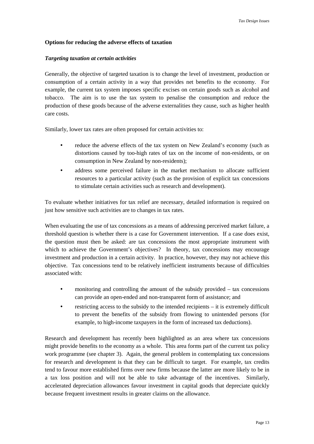### <span id="page-18-0"></span>**Options for reducing the adverse effects of taxation**

#### *Targeting taxation at certain activities*

Generally, the objective of targeted taxation is to change the level of investment, production or consumption of a certain activity in a way that provides net benefits to the economy. For example, the current tax system imposes specific excises on certain goods such as alcohol and tobacco. The aim is to use the tax system to penalise the consumption and reduce the production of these goods because of the adverse externalities they cause, such as higher health care costs.

Similarly, lower tax rates are often proposed for certain activities to:

- reduce the adverse effects of the tax system on New Zealand's economy (such as distortions caused by too-high rates of tax on the income of non-residents, or on consumption in New Zealand by non-residents);
- address some perceived failure in the market mechanism to allocate sufficient resources to a particular activity (such as the provision of explicit tax concessions to stimulate certain activities such as research and development).

To evaluate whether initiatives for tax relief are necessary, detailed information is required on just how sensitive such activities are to changes in tax rates.

When evaluating the use of tax concessions as a means of addressing perceived market failure, a threshold question is whether there is a case for Government intervention. If a case does exist, the question must then be asked: are tax concessions the most appropriate instrument with which to achieve the Government's objectives? In theory, tax concessions may encourage investment and production in a certain activity. In practice, however, they may not achieve this objective. Tax concessions tend to be relatively inefficient instruments because of difficulties associated with:

- monitoring and controlling the amount of the subsidy provided tax concessions can provide an open-ended and non-transparent form of assistance; and
- restricting access to the subsidy to the intended recipients it is extremely difficult to prevent the benefits of the subsidy from flowing to unintended persons (for example, to high-income taxpayers in the form of increased tax deductions).

Research and development has recently been highlighted as an area where tax concessions might provide benefits to the economy as a whole. This area forms part of the current tax policy work programme (see chapter 3). Again, the general problem in contemplating tax concessions for research and development is that they can be difficult to target. For example, tax credits tend to favour more established firms over new firms because the latter are more likely to be in a tax loss position and will not be able to take advantage of the incentives. Similarly, accelerated depreciation allowances favour investment in capital goods that depreciate quickly because frequent investment results in greater claims on the allowance.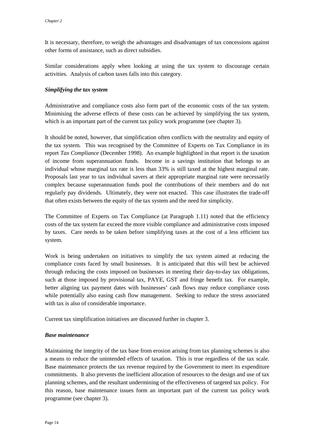<span id="page-19-0"></span>It is necessary, therefore, to weigh the advantages and disadvantages of tax concessions against other forms of assistance, such as direct subsidies.

Similar considerations apply when looking at using the tax system to discourage certain activities. Analysis of carbon taxes falls into this category.

## *Simplifying the tax system*

Administrative and compliance costs also form part of the economic costs of the tax system. Minimising the adverse effects of these costs can be achieved by simplifying the tax system, which is an important part of the current tax policy work programme (see chapter 3).

It should be noted, however, that simplification often conflicts with the neutrality and equity of the tax system. This was recognised by the Committee of Experts on Tax Compliance in its report *Tax Compliance* (December 1998). An example highlighted in that report is the taxation of income from superannuation funds. Income in a savings institution that belongs to an individual whose marginal tax rate is less than 33% is still taxed at the highest marginal rate. Proposals last year to tax individual savers at their appropriate marginal rate were necessarily complex because superannuation funds pool the contributions of their members and do not regularly pay dividends. Ultimately, they were not enacted. This case illustrates the trade-off that often exists between the equity of the tax system and the need for simplicity.

The Committee of Experts on Tax Compliance (at Paragraph 1.11) noted that the efficiency costs of the tax system far exceed the more visible compliance and administrative costs imposed by taxes. Care needs to be taken before simplifying taxes at the cost of a less efficient tax system.

Work is being undertaken on initiatives to simplify the tax system aimed at reducing the compliance costs faced by small businesses. It is anticipated that this will best be achieved through reducing the costs imposed on businesses in meeting their day-to-day tax obligations, such at those imposed by provisional tax, PAYE, GST and fringe benefit tax. For example, better aligning tax payment dates with businesses' cash flows may reduce compliance costs while potentially also easing cash flow management. Seeking to reduce the stress associated with tax is also of considerable importance.

Current tax simplification initiatives are discussed further in chapter 3.

## *Base maintenance*

Maintaining the integrity of the tax base from erosion arising from tax planning schemes is also a means to reduce the unintended effects of taxation. This is true regardless of the tax scale. Base maintenance protects the tax revenue required by the Government to meet its expenditure commitments. It also prevents the inefficient allocation of resources to the design and use of tax planning schemes, and the resultant undermining of the effectiveness of targeted tax policy. For this reason, base maintenance issues form an important part of the current tax policy work programme (see chapter 3).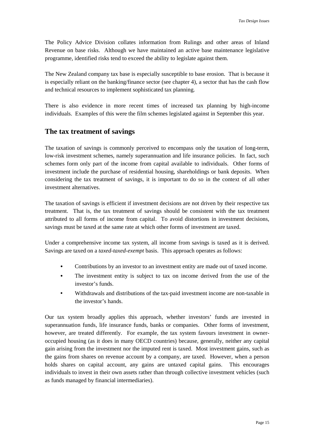<span id="page-20-0"></span>The Policy Advice Division collates information from Rulings and other areas of Inland Revenue on base risks. Although we have maintained an active base maintenance legislative programme, identified risks tend to exceed the ability to legislate against them.

The New Zealand company tax base is especially susceptible to base erosion. That is because it is especially reliant on the banking/finance sector (see chapter 4), a sector that has the cash flow and technical resources to implement sophisticated tax planning.

There is also evidence in more recent times of increased tax planning by high-income individuals. Examples of this were the film schemes legislated against in September this year.

## **The tax treatment of savings**

The taxation of savings is commonly perceived to encompass only the taxation of long-term, low-risk investment schemes, namely superannuation and life insurance policies. In fact, such schemes form only part of the income from capital available to individuals. Other forms of investment include the purchase of residential housing, shareholdings or bank deposits. When considering the tax treatment of savings, it is important to do so in the context of all other investment alternatives.

The taxation of savings is efficient if investment decisions are not driven by their respective tax treatment. That is, the tax treatment of savings should be consistent with the tax treatment attributed to all forms of income from capital. To avoid distortions in investment decisions, savings must be taxed at the same rate at which other forms of investment are taxed.

Under a comprehensive income tax system, all income from savings is taxed as it is derived. Savings are taxed on a *taxed-taxed-exempt* basis. This approach operates as follows:

- Contributions by an investor to an investment entity are made out of taxed income.
- The investment entity is subject to tax on income derived from the use of the investor's funds.
- Withdrawals and distributions of the tax-paid investment income are non-taxable in the investor's hands.

Our tax system broadly applies this approach, whether investors' funds are invested in superannuation funds, life insurance funds, banks or companies. Other forms of investment, however, are treated differently. For example, the tax system favours investment in owneroccupied housing (as it does in many OECD countries) because, generally, neither any capital gain arising from the investment nor the imputed rent is taxed. Most investment gains, such as the gains from shares on revenue account by a company, are taxed. However, when a person holds shares on capital account, any gains are untaxed capital gains. This encourages individuals to invest in their own assets rather than through collective investment vehicles (such as funds managed by financial intermediaries).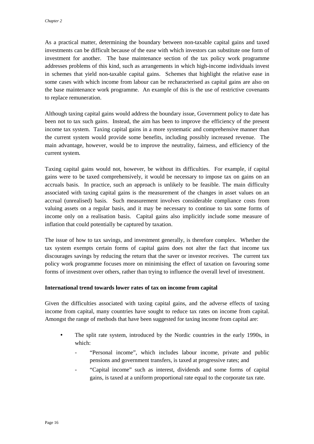<span id="page-21-0"></span>As a practical matter, determining the boundary between non-taxable capital gains and taxed investments can be difficult because of the ease with which investors can substitute one form of investment for another. The base maintenance section of the tax policy work programme addresses problems of this kind, such as arrangements in which high-income individuals invest in schemes that yield non-taxable capital gains. Schemes that highlight the relative ease in some cases with which income from labour can be recharacterised as capital gains are also on the base maintenance work programme. An example of this is the use of restrictive covenants to replace remuneration.

Although taxing capital gains would address the boundary issue, Government policy to date has been not to tax such gains. Instead, the aim has been to improve the efficiency of the present income tax system. Taxing capital gains in a more systematic and comprehensive manner than the current system would provide some benefits, including possibly increased revenue. The main advantage, however, would be to improve the neutrality, fairness, and efficiency of the current system.

Taxing capital gains would not, however, be without its difficulties. For example, if capital gains were to be taxed comprehensively, it would be necessary to impose tax on gains on an accruals basis. In practice, such an approach is unlikely to be feasible. The main difficulty associated with taxing capital gains is the measurement of the changes in asset values on an accrual (unrealised) basis. Such measurement involves considerable compliance costs from valuing assets on a regular basis, and it may be necessary to continue to tax some forms of income only on a realisation basis. Capital gains also implicitly include some measure of inflation that could potentially be captured by taxation.

The issue of how to tax savings, and investment generally, is therefore complex. Whether the tax system exempts certain forms of capital gains does not alter the fact that income tax discourages savings by reducing the return that the saver or investor receives. The current tax policy work programme focuses more on minimising the effect of taxation on favouring some forms of investment over others, rather than trying to influence the overall level of investment.

### **International trend towards lower rates of tax on income from capital**

Given the difficulties associated with taxing capital gains, and the adverse effects of taxing income from capital, many countries have sought to reduce tax rates on income from capital. Amongst the range of methods that have been suggested for taxing income from capital are:

- The split rate system, introduced by the Nordic countries in the early 1990s, in which:
	- "Personal income", which includes labour income, private and public pensions and government transfers, is taxed at progressive rates; and
	- "Capital income" such as interest, dividends and some forms of capital gains, is taxed at a uniform proportional rate equal to the corporate tax rate.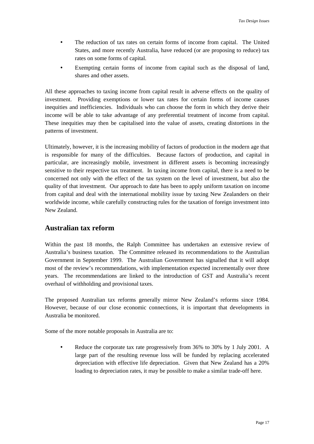- <span id="page-22-0"></span>• The reduction of tax rates on certain forms of income from capital. The United States, and more recently Australia, have reduced (or are proposing to reduce) tax rates on some forms of capital.
- Exempting certain forms of income from capital such as the disposal of land, shares and other assets.

All these approaches to taxing income from capital result in adverse effects on the quality of investment. Providing exemptions or lower tax rates for certain forms of income causes inequities and inefficiencies. Individuals who can choose the form in which they derive their income will be able to take advantage of any preferential treatment of income from capital. These inequities may then be capitalised into the value of assets, creating distortions in the patterns of investment.

Ultimately, however, it is the increasing mobility of factors of production in the modern age that is responsible for many of the difficulties. Because factors of production, and capital in particular, are increasingly mobile, investment in different assets is becoming increasingly sensitive to their respective tax treatment. In taxing income from capital, there is a need to be concerned not only with the effect of the tax system on the level of investment, but also the quality of that investment. Our approach to date has been to apply uniform taxation on income from capital and deal with the international mobility issue by taxing New Zealanders on their worldwide income, while carefully constructing rules for the taxation of foreign investment into New Zealand.

## **Australian tax reform**

Within the past 18 months, the Ralph Committee has undertaken an extensive review of Australia's business taxation. The Committee released its recommendations to the Australian Government in September 1999. The Australian Government has signalled that it will adopt most of the review's recommendations, with implementation expected incrementally over three years. The recommendations are linked to the introduction of GST and Australia's recent overhaul of withholding and provisional taxes.

The proposed Australian tax reforms generally mirror New Zealand's reforms since 1984. However, because of our close economic connections, it is important that developments in Australia be monitored.

Some of the more notable proposals in Australia are to:

• Reduce the corporate tax rate progressively from 36% to 30% by 1 July 2001. A large part of the resulting revenue loss will be funded by replacing accelerated depreciation with effective life depreciation. Given that New Zealand has a 20% loading to depreciation rates, it may be possible to make a similar trade-off here.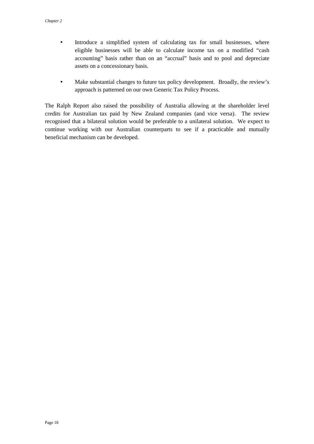- Introduce a simplified system of calculating tax for small businesses, where eligible businesses will be able to calculate income tax on a modified "cash accounting" basis rather than on an "accrual" basis and to pool and depreciate assets on a concessionary basis.
- Make substantial changes to future tax policy development. Broadly, the review's approach is patterned on our own Generic Tax Policy Process.

The Ralph Report also raised the possibility of Australia allowing at the shareholder level credits for Australian tax paid by New Zealand companies (and vice versa). The review recognised that a bilateral solution would be preferable to a unilateral solution. We expect to continue working with our Australian counterparts to see if a practicable and mutually beneficial mechanism can be developed.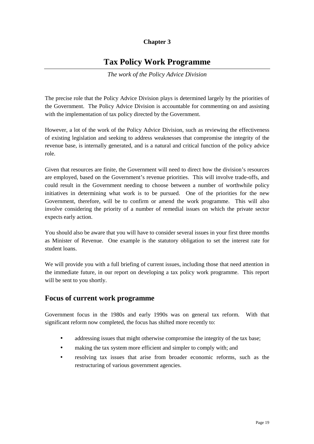## **Chapter 3**

# **Tax Policy Work Programme**

*The work of the Policy Advice Division*

<span id="page-24-0"></span>The precise role that the Policy Advice Division plays is determined largely by the priorities of the Government. The Policy Advice Division is accountable for commenting on and assisting with the implementation of tax policy directed by the Government.

However, a lot of the work of the Policy Advice Division, such as reviewing the effectiveness of existing legislation and seeking to address weaknesses that compromise the integrity of the revenue base, is internally generated, and is a natural and critical function of the policy advice role.

Given that resources are finite, the Government will need to direct how the division's resources are employed, based on the Government's revenue priorities. This will involve trade-offs, and could result in the Government needing to choose between a number of worthwhile policy initiatives in determining what work is to be pursued. One of the priorities for the new Government, therefore, will be to confirm or amend the work programme. This will also involve considering the priority of a number of remedial issues on which the private sector expects early action.

You should also be aware that you will have to consider several issues in your first three months as Minister of Revenue. One example is the statutory obligation to set the interest rate for student loans.

We will provide you with a full briefing of current issues, including those that need attention in the immediate future, in our report on developing a tax policy work programme. This report will be sent to you shortly.

## **Focus of current work programme**

Government focus in the 1980s and early 1990s was on general tax reform. With that significant reform now completed, the focus has shifted more recently to:

- addressing issues that might otherwise compromise the integrity of the tax base;
- making the tax system more efficient and simpler to comply with; and
- resolving tax issues that arise from broader economic reforms, such as the restructuring of various government agencies.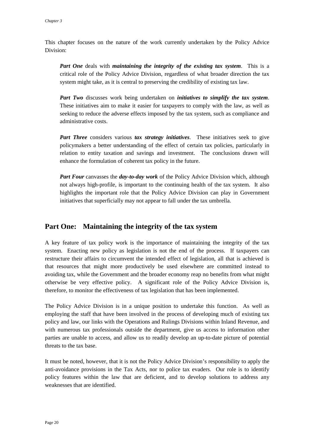<span id="page-25-0"></span>This chapter focuses on the nature of the work currently undertaken by the Policy Advice Division:

*Part One* deals with *maintaining the integrity of the existing tax system*. This is a critical role of the Policy Advice Division, regardless of what broader direction the tax system might take, as it is central to preserving the credibility of existing tax law.

*Part Two* discusses work being undertaken on *initiatives to simplify the tax system*. These initiatives aim to make it easier for taxpayers to comply with the law, as well as seeking to reduce the adverse effects imposed by the tax system, such as compliance and administrative costs.

*Part Three* considers various *tax strategy initiatives*. These initiatives seek to give policymakers a better understanding of the effect of certain tax policies, particularly in relation to entity taxation and savings and investment. The conclusions drawn will enhance the formulation of coherent tax policy in the future.

*Part Four* canvasses the *day-to-day work* of the Policy Advice Division which, although not always high-profile, is important to the continuing health of the tax system. It also highlights the important role that the Policy Advice Division can play in Government initiatives that superficially may not appear to fall under the tax umbrella.

## **Part One: Maintaining the integrity of the tax system**

A key feature of tax policy work is the importance of maintaining the integrity of the tax system. Enacting new policy as legislation is not the end of the process. If taxpayers can restructure their affairs to circumvent the intended effect of legislation, all that is achieved is that resources that might more productively be used elsewhere are committed instead to avoiding tax, while the Government and the broader economy reap no benefits from what might otherwise be very effective policy. A significant role of the Policy Advice Division is, therefore, to monitor the effectiveness of tax legislation that has been implemented.

The Policy Advice Division is in a unique position to undertake this function. As well as employing the staff that have been involved in the process of developing much of existing tax policy and law, our links with the Operations and Rulings Divisions within Inland Revenue, and with numerous tax professionals outside the department, give us access to information other parties are unable to access, and allow us to readily develop an up-to-date picture of potential threats to the tax base.

It must be noted, however, that it is not the Policy Advice Division's responsibility to apply the anti-avoidance provisions in the Tax Acts, nor to police tax evaders. Our role is to identify policy features within the law that are deficient, and to develop solutions to address any weaknesses that are identified.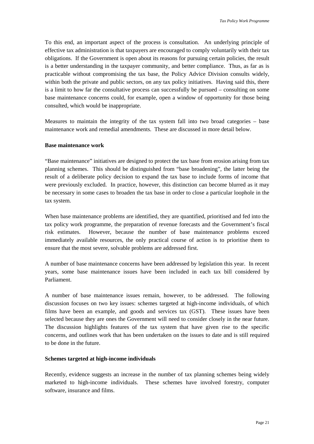<span id="page-26-0"></span>To this end, an important aspect of the process is consultation. An underlying principle of effective tax administration is that taxpayers are encouraged to comply voluntarily with their tax obligations. If the Government is open about its reasons for pursuing certain policies, the result is a better understanding in the taxpayer community, and better compliance. Thus, as far as is practicable without compromising the tax base, the Policy Advice Division consults widely, within both the private and public sectors, on any tax policy initiatives. Having said this, there is a limit to how far the consultative process can successfully be pursued – consulting on some base maintenance concerns could, for example, open a window of opportunity for those being consulted, which would be inappropriate.

Measures to maintain the integrity of the tax system fall into two broad categories – base maintenance work and remedial amendments. These are discussed in more detail below.

#### **Base maintenance work**

"Base maintenance" initiatives are designed to protect the tax base from erosion arising from tax planning schemes. This should be distinguished from "base broadening", the latter being the result of a deliberate policy decision to expand the tax base to include forms of income that were previously excluded. In practice, however, this distinction can become blurred as it may be necessary in some cases to broaden the tax base in order to close a particular loophole in the tax system.

When base maintenance problems are identified, they are quantified, prioritised and fed into the tax policy work programme, the preparation of revenue forecasts and the Government's fiscal risk estimates. However, because the number of base maintenance problems exceed immediately available resources, the only practical course of action is to prioritise them to ensure that the most severe, solvable problems are addressed first.

A number of base maintenance concerns have been addressed by legislation this year. In recent years, some base maintenance issues have been included in each tax bill considered by Parliament.

A number of base maintenance issues remain, however, to be addressed. The following discussion focuses on two key issues: schemes targeted at high-income individuals, of which films have been an example, and goods and services tax (GST). These issues have been selected because they are ones the Government will need to consider closely in the near future. The discussion highlights features of the tax system that have given rise to the specific concerns, and outlines work that has been undertaken on the issues to date and is still required to be done in the future.

### **Schemes targeted at high-income individuals**

Recently, evidence suggests an increase in the number of tax planning schemes being widely marketed to high-income individuals. These schemes have involved forestry, computer software, insurance and films.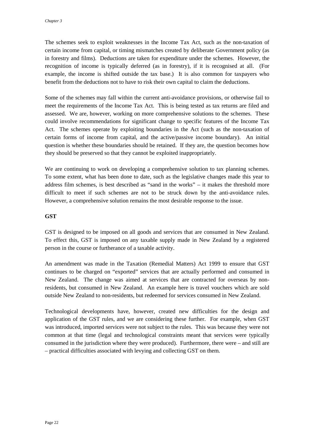<span id="page-27-0"></span>The schemes seek to exploit weaknesses in the Income Tax Act, such as the non-taxation of certain income from capital, or timing mismatches created by deliberate Government policy (as in forestry and films). Deductions are taken for expenditure under the schemes. However, the recognition of income is typically deferred (as in forestry), if it is recognised at all. (For example, the income is shifted outside the tax base.) It is also common for taxpayers who benefit from the deductions not to have to risk their own capital to claim the deductions.

Some of the schemes may fall within the current anti-avoidance provisions, or otherwise fail to meet the requirements of the Income Tax Act. This is being tested as tax returns are filed and assessed. We are, however, working on more comprehensive solutions to the schemes. These could involve recommendations for significant change to specific features of the Income Tax Act. The schemes operate by exploiting boundaries in the Act (such as the non-taxation of certain forms of income from capital, and the active/passive income boundary). An initial question is whether these boundaries should be retained. If they are, the question becomes how they should be preserved so that they cannot be exploited inappropriately.

We are continuing to work on developing a comprehensive solution to tax planning schemes. To some extent, what has been done to date, such as the legislative changes made this year to address film schemes, is best described as "sand in the works" – it makes the threshold more difficult to meet if such schemes are not to be struck down by the anti-avoidance rules. However, a comprehensive solution remains the most desirable response to the issue.

### **GST**

GST is designed to be imposed on all goods and services that are consumed in New Zealand. To effect this, GST is imposed on any taxable supply made in New Zealand by a registered person in the course or furtherance of a taxable activity.

An amendment was made in the Taxation (Remedial Matters) Act 1999 to ensure that GST continues to be charged on "exported" services that are actually performed and consumed in New Zealand. The change was aimed at services that are contracted for overseas by nonresidents, but consumed in New Zealand. An example here is travel vouchers which are sold outside New Zealand to non-residents, but redeemed for services consumed in New Zealand.

Technological developments have, however, created new difficulties for the design and application of the GST rules, and we are considering these further. For example, when GST was introduced, imported services were not subject to the rules. This was because they were not common at that time (legal and technological constraints meant that services were typically consumed in the jurisdiction where they were produced). Furthermore, there were – and still are – practical difficulties associated with levying and collecting GST on them.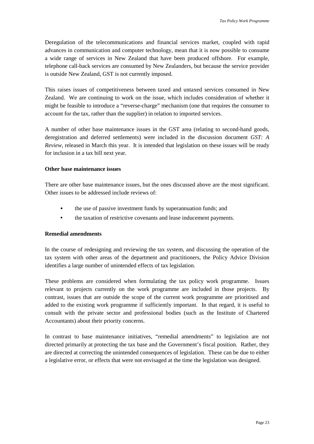<span id="page-28-0"></span>Deregulation of the telecommunications and financial services market, coupled with rapid advances in communication and computer technology, mean that it is now possible to consume a wide range of services in New Zealand that have been produced offshore. For example, telephone call-back services are consumed by New Zealanders, but because the service provider is outside New Zealand, GST is not currently imposed.

This raises issues of competitiveness between taxed and untaxed services consumed in New Zealand. We are continuing to work on the issue, which includes consideration of whether it might be feasible to introduce a "reverse-charge" mechanism (one that requires the consumer to account for the tax, rather than the supplier) in relation to imported services.

A number of other base maintenance issues in the GST area (relating to second-hand goods, deregistration and deferred settlements) were included in the discussion document *GST: A Review*, released in March this year. It is intended that legislation on these issues will be ready for inclusion in a tax bill next year.

### **Other base maintenance issues**

There are other base maintenance issues, but the ones discussed above are the most significant. Other issues to be addressed include reviews of:

- the use of passive investment funds by superannuation funds; and
- the taxation of restrictive covenants and lease inducement payments.

### **Remedial amendments**

In the course of redesigning and reviewing the tax system, and discussing the operation of the tax system with other areas of the department and practitioners, the Policy Advice Division identifies a large number of unintended effects of tax legislation.

These problems are considered when formulating the tax policy work programme. Issues relevant to projects currently on the work programme are included in those projects. By contrast, issues that are outside the scope of the current work programme are prioritised and added to the existing work programme if sufficiently important. In that regard, it is useful to consult with the private sector and professional bodies (such as the Institute of Chartered Accountants) about their priority concerns.

In contrast to base maintenance initiatives, "remedial amendments" to legislation are not directed primarily at protecting the tax base and the Government's fiscal position. Rather, they are directed at correcting the unintended consequences of legislation. These can be due to either a legislative error, or effects that were not envisaged at the time the legislation was designed.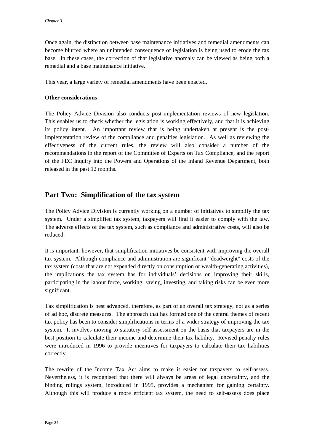<span id="page-29-0"></span>Once again, the distinction between base maintenance initiatives and remedial amendments can become blurred where an unintended consequence of legislation is being used to erode the tax base. In these cases, the correction of that legislative anomaly can be viewed as being both a remedial and a base maintenance initiative.

This year, a large variety of remedial amendments have been enacted.

#### **Other considerations**

The Policy Advice Division also conducts post-implementation reviews of new legislation. This enables us to check whether the legislation is working effectively, and that it is achieving its policy intent. An important review that is being undertaken at present is the postimplementation review of the compliance and penalties legislation. As well as reviewing the effectiveness of the current rules, the review will also consider a number of the recommendations in the report of the Committee of Experts on Tax Compliance, and the report of the FEC Inquiry into the Powers and Operations of the Inland Revenue Department, both released in the past 12 months.

## **Part Two: Simplification of the tax system**

The Policy Advice Division is currently working on a number of initiatives to simplify the tax system. Under a simplified tax system, taxpayers will find it easier to comply with the law. The adverse effects of the tax system, such as compliance and administrative costs, will also be reduced.

It is important, however, that simplification initiatives be consistent with improving the overall tax system. Although compliance and administration are significant "deadweight" costs of the tax system (costs that are not expended directly on consumption or wealth-generating activities), the implications the tax system has for individuals' decisions on improving their skills, participating in the labour force, working, saving, investing, and taking risks can be even more significant.

Tax simplification is best advanced, therefore, as part of an overall tax strategy, not as a series of ad hoc, discrete measures. The approach that has formed one of the central themes of recent tax policy has been to consider simplifications in terms of a wider strategy of improving the tax system. It involves moving to statutory self-assessment on the basis that taxpayers are in the best position to calculate their income and determine their tax liability. Revised penalty rules were introduced in 1996 to provide incentives for taxpayers to calculate their tax liabilities correctly.

The rewrite of the Income Tax Act aims to make it easier for taxpayers to self-assess. Nevertheless, it is recognised that there will always be areas of legal uncertainty, and the binding rulings system, introduced in 1995, provides a mechanism for gaining certainty. Although this will produce a more efficient tax system, the need to self-assess does place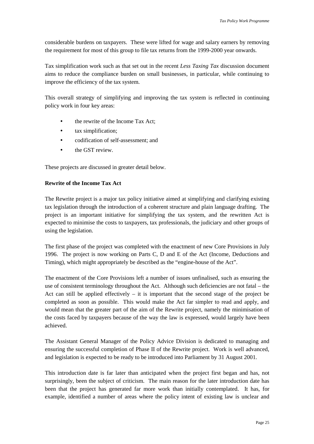<span id="page-30-0"></span>considerable burdens on taxpayers. These were lifted for wage and salary earners by removing the requirement for most of this group to file tax returns from the 1999-2000 year onwards.

Tax simplification work such as that set out in the recent *Less Taxing Tax* discussion document aims to reduce the compliance burden on small businesses, in particular, while continuing to improve the efficiency of the tax system.

This overall strategy of simplifying and improving the tax system is reflected in continuing policy work in four key areas:

- the rewrite of the Income Tax Act:
- tax simplification;
- codification of self-assessment; and
- the GST review

These projects are discussed in greater detail below.

## **Rewrite of the Income Tax Act**

The Rewrite project is a major tax policy initiative aimed at simplifying and clarifying existing tax legislation through the introduction of a coherent structure and plain language drafting. The project is an important initiative for simplifying the tax system, and the rewritten Act is expected to minimise the costs to taxpayers, tax professionals, the judiciary and other groups of using the legislation.

The first phase of the project was completed with the enactment of new Core Provisions in July 1996. The project is now working on Parts C, D and E of the Act (Income, Deductions and Timing), which might appropriately be described as the "engine-house of the Act".

The enactment of the Core Provisions left a number of issues unfinalised, such as ensuring the use of consistent terminology throughout the Act. Although such deficiencies are not fatal – the Act can still be applied effectively  $-$  it is important that the second stage of the project be completed as soon as possible. This would make the Act far simpler to read and apply, and would mean that the greater part of the aim of the Rewrite project, namely the minimisation of the costs faced by taxpayers because of the way the law is expressed, would largely have been achieved.

The Assistant General Manager of the Policy Advice Division is dedicated to managing and ensuring the successful completion of Phase II of the Rewrite project. Work is well advanced, and legislation is expected to be ready to be introduced into Parliament by 31 August 2001.

This introduction date is far later than anticipated when the project first began and has, not surprisingly, been the subject of criticism. The main reason for the later introduction date has been that the project has generated far more work than initially contemplated. It has, for example, identified a number of areas where the policy intent of existing law is unclear and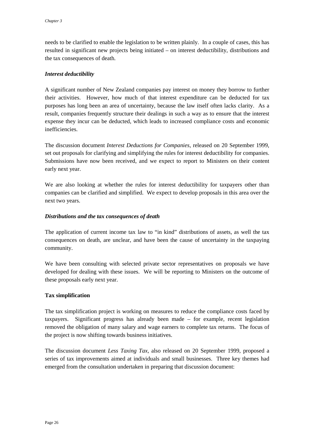<span id="page-31-0"></span>needs to be clarified to enable the legislation to be written plainly. In a couple of cases, this has resulted in significant new projects being initiated – on interest deductibility, distributions and the tax consequences of death.

### *Interest deductibility*

A significant number of New Zealand companies pay interest on money they borrow to further their activities. However, how much of that interest expenditure can be deducted for tax purposes has long been an area of uncertainty, because the law itself often lacks clarity. As a result, companies frequently structure their dealings in such a way as to ensure that the interest expense they incur can be deducted, which leads to increased compliance costs and economic inefficiencies.

The discussion document *Interest Deductions for Companies*, released on 20 September 1999, set out proposals for clarifying and simplifying the rules for interest deductibility for companies. Submissions have now been received, and we expect to report to Ministers on their content early next year.

We are also looking at whether the rules for interest deductibility for taxpayers other than companies can be clarified and simplified. We expect to develop proposals in this area over the next two years.

## *Distributions and the tax consequences of death*

The application of current income tax law to "in kind" distributions of assets, as well the tax consequences on death, are unclear, and have been the cause of uncertainty in the taxpaying community.

We have been consulting with selected private sector representatives on proposals we have developed for dealing with these issues. We will be reporting to Ministers on the outcome of these proposals early next year.

### **Tax simplification**

The tax simplification project is working on measures to reduce the compliance costs faced by taxpayers. Significant progress has already been made – for example, recent legislation removed the obligation of many salary and wage earners to complete tax returns. The focus of the project is now shifting towards business initiatives.

The discussion document *Less Taxing Tax*, also released on 20 September 1999, proposed a series of tax improvements aimed at individuals and small businesses. Three key themes had emerged from the consultation undertaken in preparing that discussion document: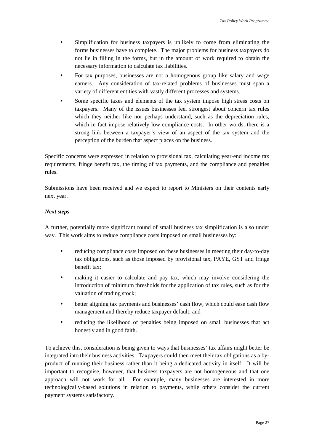- <span id="page-32-0"></span>• Simplification for business taxpayers is unlikely to come from eliminating the forms businesses have to complete. The major problems for business taxpayers do not lie in filling in the forms, but in the amount of work required to obtain the necessary information to calculate tax liabilities.
- For tax purposes, businesses are not a homogenous group like salary and wage earners. Any consideration of tax-related problems of businesses must span a variety of different entities with vastly different processes and systems.
- Some specific taxes and elements of the tax system impose high stress costs on taxpayers. Many of the issues businesses feel strongest about concern tax rules which they neither like nor perhaps understand, such as the depreciation rules, which in fact impose relatively low compliance costs. In other words, there is a strong link between a taxpayer's view of an aspect of the tax system and the perception of the burden that aspect places on the business.

Specific concerns were expressed in relation to provisional tax, calculating year-end income tax requirements, fringe benefit tax, the timing of tax payments, and the compliance and penalties rules.

Submissions have been received and we expect to report to Ministers on their contents early next year.

## *Next steps*

A further, potentially more significant round of small business tax simplification is also under way. This work aims to reduce compliance costs imposed on small businesses by:

- reducing compliance costs imposed on these businesses in meeting their day-to-day tax obligations, such as those imposed by provisional tax, PAYE, GST and fringe benefit tax;
- making it easier to calculate and pay tax, which may involve considering the introduction of minimum thresholds for the application of tax rules, such as for the valuation of trading stock;
- better aligning tax payments and businesses' cash flow, which could ease cash flow management and thereby reduce taxpayer default; and
- reducing the likelihood of penalties being imposed on small businesses that act honestly and in good faith.

To achieve this, consideration is being given to ways that businesses' tax affairs might better be integrated into their business activities. Taxpayers could then meet their tax obligations as a byproduct of running their business rather than it being a dedicated activity in itself. It will be important to recognise, however, that business taxpayers are not homogeneous and that one approach will not work for all. For example, many businesses are interested in more technologically-based solutions in relation to payments, while others consider the current payment systems satisfactory.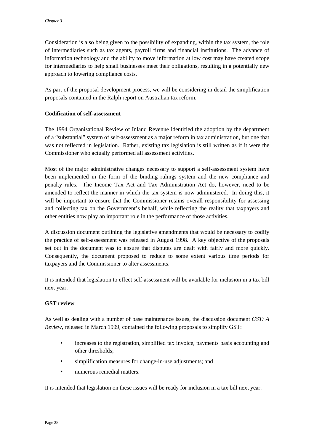<span id="page-33-0"></span>Consideration is also being given to the possibility of expanding, within the tax system, the role of intermediaries such as tax agents, payroll firms and financial institutions. The advance of information technology and the ability to move information at low cost may have created scope for intermediaries to help small businesses meet their obligations, resulting in a potentially new approach to lowering compliance costs.

As part of the proposal development process, we will be considering in detail the simplification proposals contained in the Ralph report on Australian tax reform.

### **Codification of self-assessment**

The 1994 Organisational Review of Inland Revenue identified the adoption by the department of a "substantial" system of self-assessment as a major reform in tax administration, but one that was not reflected in legislation. Rather, existing tax legislation is still written as if it were the Commissioner who actually performed all assessment activities.

Most of the major administrative changes necessary to support a self-assessment system have been implemented in the form of the binding rulings system and the new compliance and penalty rules. The Income Tax Act and Tax Administration Act do, however, need to be amended to reflect the manner in which the tax system is now administered. In doing this, it will be important to ensure that the Commissioner retains overall responsibility for assessing and collecting tax on the Government's behalf, while reflecting the reality that taxpayers and other entities now play an important role in the performance of those activities.

A discussion document outlining the legislative amendments that would be necessary to codify the practice of self-assessment was released in August 1998. A key objective of the proposals set out in the document was to ensure that disputes are dealt with fairly and more quickly. Consequently, the document proposed to reduce to some extent various time periods for taxpayers and the Commissioner to alter assessments.

It is intended that legislation to effect self-assessment will be available for inclusion in a tax bill next year.

### **GST review**

As well as dealing with a number of base maintenance issues, the discussion document *GST: A Review*, released in March 1999, contained the following proposals to simplify GST:

- increases to the registration, simplified tax invoice, payments basis accounting and other thresholds;
- simplification measures for change-in-use adjustments; and
- numerous remedial matters.

It is intended that legislation on these issues will be ready for inclusion in a tax bill next year.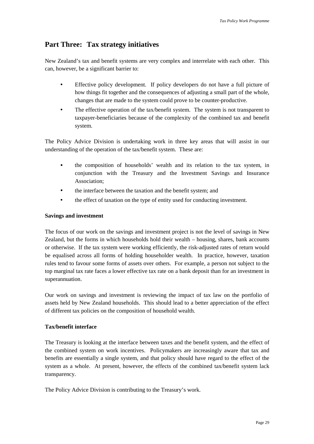## <span id="page-34-0"></span>**Part Three: Tax strategy initiatives**

New Zealand's tax and benefit systems are very complex and interrelate with each other. This can, however, be a significant barrier to:

- Effective policy development. If policy developers do not have a full picture of how things fit together and the consequences of adjusting a small part of the whole, changes that are made to the system could prove to be counter-productive.
- The effective operation of the tax/benefit system. The system is not transparent to taxpayer-beneficiaries because of the complexity of the combined tax and benefit system.

The Policy Advice Division is undertaking work in three key areas that will assist in our understanding of the operation of the tax/benefit system. These are:

- the composition of households' wealth and its relation to the tax system, in conjunction with the Treasury and the Investment Savings and Insurance Association;
- the interface between the taxation and the benefit system; and
- the effect of taxation on the type of entity used for conducting investment.

## **Savings and investment**

The focus of our work on the savings and investment project is not the level of savings in New Zealand, but the forms in which households hold their wealth – housing, shares, bank accounts or otherwise. If the tax system were working efficiently, the risk-adjusted rates of return would be equalised across all forms of holding householder wealth. In practice, however, taxation rules tend to favour some forms of assets over others. For example, a person not subject to the top marginal tax rate faces a lower effective tax rate on a bank deposit than for an investment in superannuation.

Our work on savings and investment is reviewing the impact of tax law on the portfolio of assets held by New Zealand households. This should lead to a better appreciation of the effect of different tax policies on the composition of household wealth.

## **Tax/benefit interface**

The Treasury is looking at the interface between taxes and the benefit system, and the effect of the combined system on work incentives. Policymakers are increasingly aware that tax and benefits are essentially a single system, and that policy should have regard to the effect of the system as a whole. At present, however, the effects of the combined tax/benefit system lack transparency.

The Policy Advice Division is contributing to the Treasury's work.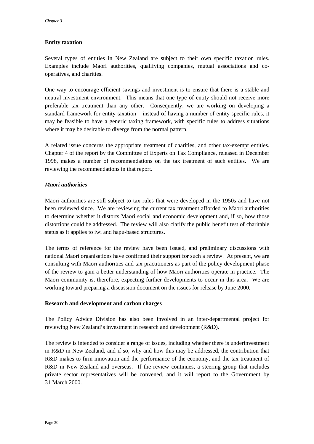## <span id="page-35-0"></span>**Entity taxation**

Several types of entities in New Zealand are subject to their own specific taxation rules. Examples include Maori authorities, qualifying companies, mutual associations and cooperatives, and charities.

One way to encourage efficient savings and investment is to ensure that there is a stable and neutral investment environment. This means that one type of entity should not receive more preferable tax treatment than any other. Consequently, we are working on developing a standard framework for entity taxation – instead of having a number of entity-specific rules, it may be feasible to have a generic taxing framework, with specific rules to address situations where it may be desirable to diverge from the normal pattern.

A related issue concerns the appropriate treatment of charities, and other tax-exempt entities. Chapter 4 of the report by the Committee of Experts on Tax Compliance, released in December 1998, makes a number of recommendations on the tax treatment of such entities. We are reviewing the recommendations in that report.

## *Maori authorities*

Maori authorities are still subject to tax rules that were developed in the 1950s and have not been reviewed since. We are reviewing the current tax treatment afforded to Maori authorities to determine whether it distorts Maori social and economic development and, if so, how those distortions could be addressed. The review will also clarify the public benefit test of charitable status as it applies to iwi and hapu-based structures.

The terms of reference for the review have been issued, and preliminary discussions with national Maori organisations have confirmed their support for such a review. At present, we are consulting with Maori authorities and tax practitioners as part of the policy development phase of the review to gain a better understanding of how Maori authorities operate in practice. The Maori community is, therefore, expecting further developments to occur in this area. We are working toward preparing a discussion document on the issues for release by June 2000.

### **Research and development and carbon charges**

The Policy Advice Division has also been involved in an inter-departmental project for reviewing New Zealand's investment in research and development (R&D).

The review is intended to consider a range of issues, including whether there is underinvestment in R&D in New Zealand, and if so, why and how this may be addressed, the contribution that R&D makes to firm innovation and the performance of the economy, and the tax treatment of R&D in New Zealand and overseas. If the review continues, a steering group that includes private sector representatives will be convened, and it will report to the Government by 31 March 2000.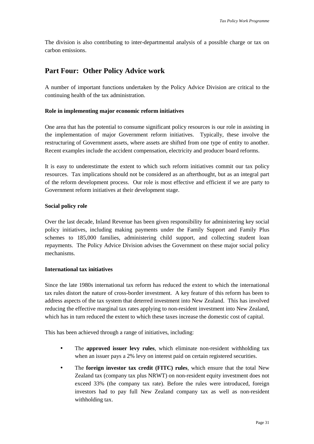<span id="page-36-0"></span>The division is also contributing to inter-departmental analysis of a possible charge or tax on carbon emissions.

## **Part Four: Other Policy Advice work**

A number of important functions undertaken by the Policy Advice Division are critical to the continuing health of the tax administration.

## **Role in implementing major economic reform initiatives**

One area that has the potential to consume significant policy resources is our role in assisting in the implementation of major Government reform initiatives. Typically, these involve the restructuring of Government assets, where assets are shifted from one type of entity to another. Recent examples include the accident compensation, electricity and producer board reforms.

It is easy to underestimate the extent to which such reform initiatives commit our tax policy resources. Tax implications should not be considered as an afterthought, but as an integral part of the reform development process. Our role is most effective and efficient if we are party to Government reform initiatives at their development stage.

## **Social policy role**

Over the last decade, Inland Revenue has been given responsibility for administering key social policy initiatives, including making payments under the Family Support and Family Plus schemes to 185,000 families, administering child support, and collecting student loan repayments. The Policy Advice Division advises the Government on these major social policy mechanisms.

## **International tax initiatives**

Since the late 1980s international tax reform has reduced the extent to which the international tax rules distort the nature of cross-border investment. A key feature of this reform has been to address aspects of the tax system that deterred investment into New Zealand. This has involved reducing the effective marginal tax rates applying to non-resident investment into New Zealand, which has in turn reduced the extent to which these taxes increase the domestic cost of capital.

This has been achieved through a range of initiatives, including:

- The **approved issuer levy rules**, which eliminate non-resident withholding tax when an issuer pays a 2% levy on interest paid on certain registered securities.
- The **foreign investor tax credit (FITC) rules**, which ensure that the total New Zealand tax (company tax plus NRWT) on non-resident equity investment does not exceed 33% (the company tax rate). Before the rules were introduced, foreign investors had to pay full New Zealand company tax as well as non-resident withholding tax.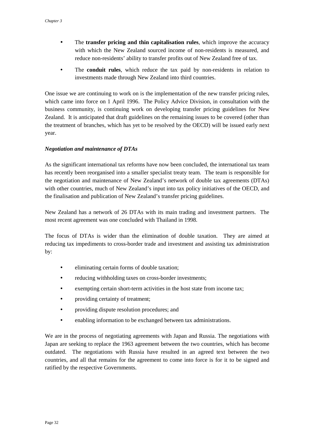- <span id="page-37-0"></span>• The **transfer pricing and thin capitalisation rules**, which improve the accuracy with which the New Zealand sourced income of non-residents is measured, and reduce non-residents' ability to transfer profits out of New Zealand free of tax.
- The **conduit rules**, which reduce the tax paid by non-residents in relation to investments made through New Zealand into third countries.

One issue we are continuing to work on is the implementation of the new transfer pricing rules, which came into force on 1 April 1996. The Policy Advice Division, in consultation with the business community, is continuing work on developing transfer pricing guidelines for New Zealand. It is anticipated that draft guidelines on the remaining issues to be covered (other than the treatment of branches, which has yet to be resolved by the OECD) will be issued early next year.

## *Negotiation and maintenance of DTAs*

As the significant international tax reforms have now been concluded, the international tax team has recently been reorganised into a smaller specialist treaty team. The team is responsible for the negotiation and maintenance of New Zealand's network of double tax agreements (DTAs) with other countries, much of New Zealand's input into tax policy initiatives of the OECD, and the finalisation and publication of New Zealand's transfer pricing guidelines.

New Zealand has a network of 26 DTAs with its main trading and investment partners. The most recent agreement was one concluded with Thailand in 1998.

The focus of DTAs is wider than the elimination of double taxation. They are aimed at reducing tax impediments to cross-border trade and investment and assisting tax administration by:

- eliminating certain forms of double taxation;
- reducing withholding taxes on cross-border investments;
- exempting certain short-term activities in the host state from income tax;
- providing certainty of treatment:
- providing dispute resolution procedures; and
- enabling information to be exchanged between tax administrations.

We are in the process of negotiating agreements with Japan and Russia. The negotiations with Japan are seeking to replace the 1963 agreement between the two countries, which has become outdated. The negotiations with Russia have resulted in an agreed text between the two countries, and all that remains for the agreement to come into force is for it to be signed and ratified by the respective Governments.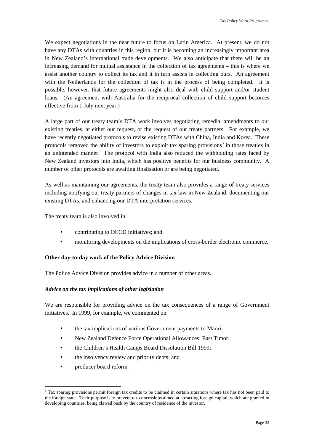<span id="page-38-0"></span>We expect negotiations in the near future to focus on Latin America. At present, we do not have any DTAs with countries in this region, but it is becoming an increasingly important area in New Zealand's international trade developments. We also anticipate that there will be an increasing demand for mutual assistance in the collection of tax agreements – this is where we assist another country to collect its tax and it in turn assists in collecting ours. An agreement with the Netherlands for the collection of tax is in the process of being completed. It is possible, however, that future agreements might also deal with child support and/or student loans. (An agreement with Australia for the reciprocal collection of child support becomes effective from 1 July next year.)

A large part of our treaty team's DTA work involves negotiating remedial amendments to our existing treaties, at either our request, or the request of our treaty partners. For example, we have recently negotiated protocols to revise existing DTAs with China, India and Korea. These protocols removed the ability of investors to exploit tax sparing provisions<sup>3</sup> in those treaties in an unintended manner. The protocol with India also reduced the withholding rates faced by New Zealand investors into India, which has positive benefits for our business community. A number of other protocols are awaiting finalisation or are being negotiated.

As well as maintaining our agreements, the treaty team also provides a range of treaty services including notifying our treaty partners of changes in tax law in New Zealand, documenting our existing DTAs, and enhancing our DTA interpretation services.

The treaty team is also involved in:

- contributing to OECD initiatives; and
- monitoring developments on the implications of cross-border electronic commerce.

### **Other day-to-day work of the Policy Advice Division**

The Police Advice Division provides advice in a number of other areas.

### *Advice on the tax implications of other legislation*

We are responsible for providing advice on the tax consequences of a range of Government initiatives. In 1999, for example, we commented on:

- the tax implications of various Government payments to Maori;
- New Zealand Defence Force Operational Allowances: East Timor:
- the Children's Health Camps Board Dissolution Bill 1999:
- the insolvency review and priority debts; and
- producer board reform.

 $\overline{a}$ 

 $3$  Tax sparing provisions permit foreign tax credits to be claimed in certain situations where tax has not been paid to the foreign state. Their purpose is to prevent tax concessions aimed at attracting foreign capital, which are granted in developing countries, being clawed back by the country of residence of the investor.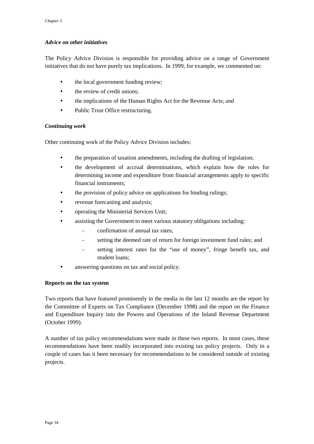## <span id="page-39-0"></span>*Advice on other initiatives*

The Policy Advice Division is responsible for providing advice on a range of Government initiatives that do not have purely tax implications. In 1999, for example, we commented on:

- the local government funding review;
- the review of credit unions;
- the implications of the Human Rights Act for the Revenue Acts; and
- Public Trust Office restructuring.

## *Continuing work*

Other continuing work of the Policy Advice Division includes:

- the preparation of taxation amendments, including the drafting of legislation;
- the development of accrual determinations, which explain how the rules for determining income and expenditure from financial arrangements apply to specific financial instruments;
- the provision of policy advice on applications for binding rulings;
- revenue forecasting and analysis;
- operating the Ministerial Services Unit;
- assisting the Government to meet various statutory obligations including:
	- confirmation of annual tax rates;
	- setting the deemed rate of return for foreign investment fund rules; and
	- setting interest rates for the "use of money", fringe benefit tax, and student loans;
- answering questions on tax and social policy.

## **Reports on the tax system**

Two reports that have featured prominently in the media in the last 12 months are the report by the Committee of Experts on Tax Compliance (December 1998) and the report on the Finance and Expenditure Inquiry into the Powers and Operations of the Inland Revenue Department (October 1999).

A number of tax policy recommendations were made in these two reports. In most cases, these recommendations have been readily incorporated into existing tax policy projects. Only in a couple of cases has it been necessary for recommendations to be considered outside of existing projects.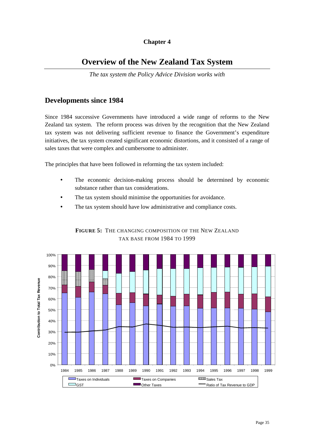## **Chapter 4**

# <span id="page-40-0"></span>**Overview of the New Zealand Tax System**

*The tax system the Policy Advice Division works with*

## **Developments since 1984**

Since 1984 successive Governments have introduced a wide range of reforms to the New Zealand tax system. The reform process was driven by the recognition that the New Zealand tax system was not delivering sufficient revenue to finance the Government's expenditure initiatives, the tax system created significant economic distortions, and it consisted of a range of sales taxes that were complex and cumbersome to administer.

The principles that have been followed in reforming the tax system included:

- The economic decision-making process should be determined by economic substance rather than tax considerations.
- The tax system should minimise the opportunities for avoidance.
- The tax system should have low administrative and compliance costs.

![](_page_40_Figure_9.jpeg)

## **FIGURE 5:** THE CHANGING COMPOSITION OF THE NEW ZEALAND TAX BASE FROM 1984 TO 1999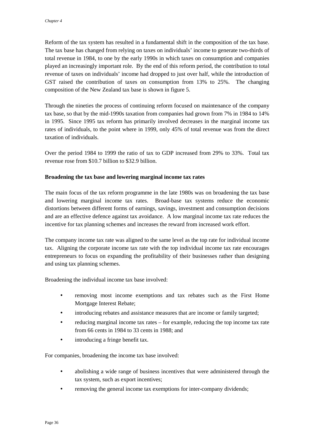<span id="page-41-0"></span>Reform of the tax system has resulted in a fundamental shift in the composition of the tax base. The tax base has changed from relying on taxes on individuals' income to generate two-thirds of total revenue in 1984, to one by the early 1990s in which taxes on consumption and companies played an increasingly important role. By the end of this reform period, the contribution to total revenue of taxes on individuals' income had dropped to just over half, while the introduction of GST raised the contribution of taxes on consumption from 13% to 25%. The changing composition of the New Zealand tax base is shown in figure 5.

Through the nineties the process of continuing reform focused on maintenance of the company tax base, so that by the mid-1990s taxation from companies had grown from 7% in 1984 to 14% in 1995. Since 1995 tax reform has primarily involved decreases in the marginal income tax rates of individuals, to the point where in 1999, only 45% of total revenue was from the direct taxation of individuals.

Over the period 1984 to 1999 the ratio of tax to GDP increased from 29% to 33%. Total tax revenue rose from \$10.7 billion to \$32.9 billion.

## **Broadening the tax base and lowering marginal income tax rates**

The main focus of the tax reform programme in the late 1980s was on broadening the tax base and lowering marginal income tax rates. Broad-base tax systems reduce the economic distortions between different forms of earnings, savings, investment and consumption decisions and are an effective defence against tax avoidance. A low marginal income tax rate reduces the incentive for tax planning schemes and increases the reward from increased work effort.

The company income tax rate was aligned to the same level as the top rate for individual income tax. Aligning the corporate income tax rate with the top individual income tax rate encourages entrepreneurs to focus on expanding the profitability of their businesses rather than designing and using tax planning schemes.

Broadening the individual income tax base involved:

- removing most income exemptions and tax rebates such as the First Home Mortgage Interest Rebate;
- introducing rebates and assistance measures that are income or family targeted;
- reducing marginal income tax rates for example, reducing the top income tax rate from 66 cents in 1984 to 33 cents in 1988; and
- introducing a fringe benefit tax.

For companies, broadening the income tax base involved:

- abolishing a wide range of business incentives that were administered through the tax system, such as export incentives;
- removing the general income tax exemptions for inter-company dividends;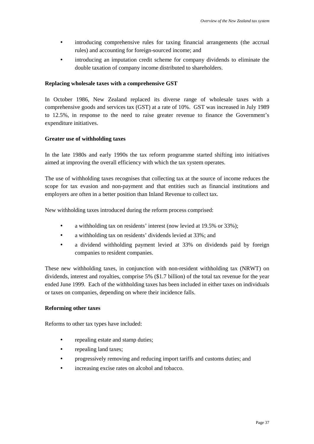- <span id="page-42-0"></span>• introducing comprehensive rules for taxing financial arrangements (the accrual rules) and accounting for foreign-sourced income; and
- introducing an imputation credit scheme for company dividends to eliminate the double taxation of company income distributed to shareholders.

### **Replacing wholesale taxes with a comprehensive GST**

In October 1986, New Zealand replaced its diverse range of wholesale taxes with a comprehensive goods and services tax (GST) at a rate of 10%. GST was increased in July 1989 to 12.5%, in response to the need to raise greater revenue to finance the Government's expenditure initiatives.

### **Greater use of withholding taxes**

In the late 1980s and early 1990s the tax reform programme started shifting into initiatives aimed at improving the overall efficiency with which the tax system operates.

The use of withholding taxes recognises that collecting tax at the source of income reduces the scope for tax evasion and non-payment and that entities such as financial institutions and employers are often in a better position than Inland Revenue to collect tax.

New withholding taxes introduced during the reform process comprised:

- a withholding tax on residents' interest (now levied at 19.5% or 33%);
- a withholding tax on residents' dividends levied at 33%; and
- a dividend withholding payment levied at 33% on dividends paid by foreign companies to resident companies.

These new withholding taxes, in conjunction with non-resident withholding tax (NRWT) on dividends, interest and royalties, comprise 5% (\$1.7 billion) of the total tax revenue for the year ended June 1999. Each of the withholding taxes has been included in either taxes on individuals or taxes on companies, depending on where their incidence falls.

### **Reforming other taxes**

Reforms to other tax types have included:

- repealing estate and stamp duties;
- repealing land taxes:
- progressively removing and reducing import tariffs and customs duties; and
- increasing excise rates on alcohol and tobacco.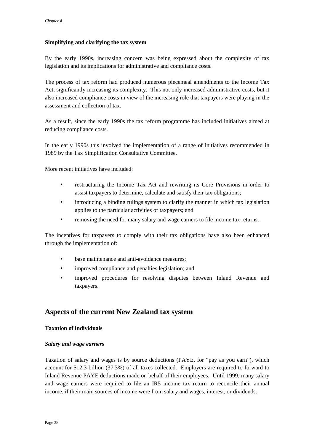## <span id="page-43-0"></span>**Simplifying and clarifying the tax system**

By the early 1990s, increasing concern was being expressed about the complexity of tax legislation and its implications for administrative and compliance costs.

The process of tax reform had produced numerous piecemeal amendments to the Income Tax Act, significantly increasing its complexity. This not only increased administrative costs, but it also increased compliance costs in view of the increasing role that taxpayers were playing in the assessment and collection of tax.

As a result, since the early 1990s the tax reform programme has included initiatives aimed at reducing compliance costs.

In the early 1990s this involved the implementation of a range of initiatives recommended in 1989 by the Tax Simplification Consultative Committee.

More recent initiatives have included:

- restructuring the Income Tax Act and rewriting its Core Provisions in order to assist taxpayers to determine, calculate and satisfy their tax obligations;
- introducing a binding rulings system to clarify the manner in which tax legislation applies to the particular activities of taxpayers; and
- removing the need for many salary and wage earners to file income tax returns.

The incentives for taxpayers to comply with their tax obligations have also been enhanced through the implementation of:

- base maintenance and anti-avoidance measures;
- improved compliance and penalties legislation; and
- improved procedures for resolving disputes between Inland Revenue and taxpayers.

## **Aspects of the current New Zealand tax system**

### **Taxation of individuals**

### *Salary and wage earners*

Taxation of salary and wages is by source deductions (PAYE, for "pay as you earn"), which account for \$12.3 billion (37.3%) of all taxes collected. Employers are required to forward to Inland Revenue PAYE deductions made on behalf of their employees. Until 1999, many salary and wage earners were required to file an IR5 income tax return to reconcile their annual income, if their main sources of income were from salary and wages, interest, or dividends.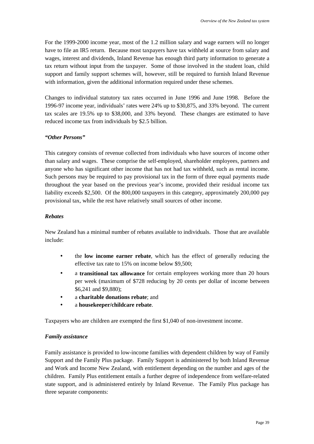<span id="page-44-0"></span>For the 1999-2000 income year, most of the 1.2 million salary and wage earners will no longer have to file an IR5 return. Because most taxpayers have tax withheld at source from salary and wages, interest and dividends, Inland Revenue has enough third party information to generate a tax return without input from the taxpayer. Some of those involved in the student loan, child support and family support schemes will, however, still be required to furnish Inland Revenue with information, given the additional information required under these schemes.

Changes to individual statutory tax rates occurred in June 1996 and June 1998. Before the 1996-97 income year, individuals' rates were 24% up to \$30,875, and 33% beyond. The current tax scales are 19.5% up to \$38,000, and 33% beyond. These changes are estimated to have reduced income tax from individuals by \$2.5 billion.

## *"Other Persons"*

This category consists of revenue collected from individuals who have sources of income other than salary and wages. These comprise the self-employed, shareholder employees, partners and anyone who has significant other income that has not had tax withheld, such as rental income. Such persons may be required to pay provisional tax in the form of three equal payments made throughout the year based on the previous year's income, provided their residual income tax liability exceeds \$2,500. Of the 800,000 taxpayers in this category, approximately 200,000 pay provisional tax, while the rest have relatively small sources of other income.

## *Rebates*

New Zealand has a minimal number of rebates available to individuals. Those that are available include:

- the **low income earner rebate**, which has the effect of generally reducing the effective tax rate to 15% on income below \$9,500;
- a **transitional tax allowance** for certain employees working more than 20 hours per week (maximum of \$728 reducing by 20 cents per dollar of income between \$6,241 and \$9,880);
- a **charitable donations rebate**; and
- a **housekeeper/childcare rebate**.

Taxpayers who are children are exempted the first \$1,040 of non-investment income.

## *Family assistance*

Family assistance is provided to low-income families with dependent children by way of Family Support and the Family Plus package. Family Support is administered by both Inland Revenue and Work and Income New Zealand, with entitlement depending on the number and ages of the children. Family Plus entitlement entails a further degree of independence from welfare-related state support, and is administered entirely by Inland Revenue. The Family Plus package has three separate components: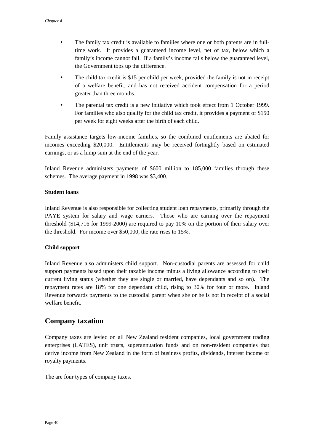- <span id="page-45-0"></span>• The family tax credit is available to families where one or both parents are in fulltime work. It provides a guaranteed income level, net of tax, below which a family's income cannot fall. If a family's income falls below the guaranteed level, the Government tops up the difference.
- The child tax credit is \$15 per child per week, provided the family is not in receipt of a welfare benefit, and has not received accident compensation for a period greater than three months.
- The parental tax credit is a new initiative which took effect from 1 October 1999. For families who also qualify for the child tax credit, it provides a payment of \$150 per week for eight weeks after the birth of each child.

Family assistance targets low-income families, so the combined entitlements are abated for incomes exceeding \$20,000. Entitlements may be received fortnightly based on estimated earnings, or as a lump sum at the end of the year.

Inland Revenue administers payments of \$600 million to 185,000 families through these schemes. The average payment in 1998 was \$3,400.

### **Student loans**

Inland Revenue is also responsible for collecting student loan repayments, primarily through the PAYE system for salary and wage earners. Those who are earning over the repayment threshold (\$14,716 for 1999-2000) are required to pay 10% on the portion of their salary over the threshold. For income over \$50,000, the rate rises to 15%.

## **Child support**

Inland Revenue also administers child support. Non-custodial parents are assessed for child support payments based upon their taxable income minus a living allowance according to their current living status (whether they are single or married, have dependants and so on). The repayment rates are 18% for one dependant child, rising to 30% for four or more. Inland Revenue forwards payments to the custodial parent when she or he is not in receipt of a social welfare benefit.

## **Company taxation**

Company taxes are levied on all New Zealand resident companies, local government trading enterprises (LATES), unit trusts, superannuation funds and on non-resident companies that derive income from New Zealand in the form of business profits, dividends, interest income or royalty payments.

The are four types of company taxes.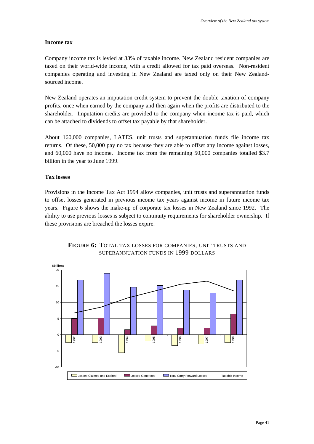## <span id="page-46-0"></span>**Income tax**

Company income tax is levied at 33% of taxable income. New Zealand resident companies are taxed on their world-wide income, with a credit allowed for tax paid overseas. Non-resident companies operating and investing in New Zealand are taxed only on their New Zealandsourced income.

New Zealand operates an imputation credit system to prevent the double taxation of company profits, once when earned by the company and then again when the profits are distributed to the shareholder. Imputation credits are provided to the company when income tax is paid, which can be attached to dividends to offset tax payable by that shareholder.

About 160,000 companies, LATES, unit trusts and superannuation funds file income tax returns. Of these, 50,000 pay no tax because they are able to offset any income against losses, and 60,000 have no income. Income tax from the remaining 50,000 companies totalled \$3.7 billion in the year to June 1999.

### **Tax losses**

Provisions in the Income Tax Act 1994 allow companies, unit trusts and superannuation funds to offset losses generated in previous income tax years against income in future income tax years. Figure 6 shows the make-up of corporate tax losses in New Zealand since 1992. The ability to use previous losses is subject to continuity requirements for shareholder ownership. If these provisions are breached the losses expire.

![](_page_46_Figure_7.jpeg)

## **FIGURE 6:** TOTAL TAX LOSSES FOR COMPANIES, UNIT TRUSTS AND SUPERANNUATION FUNDS IN 1999 DOLLARS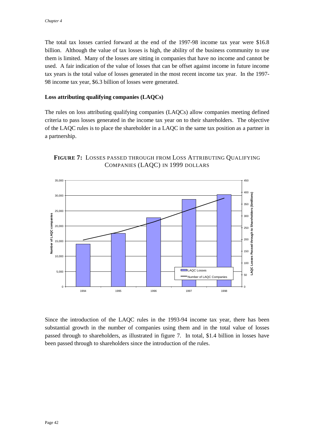<span id="page-47-0"></span>The total tax losses carried forward at the end of the 1997-98 income tax year were \$16.8 billion. Although the value of tax losses is high, the ability of the business community to use them is limited. Many of the losses are sitting in companies that have no income and cannot be used. A fair indication of the value of losses that can be offset against income in future income tax years is the total value of losses generated in the most recent income tax year. In the 1997- 98 income tax year, \$6.3 billion of losses were generated.

### **Loss attributing qualifying companies (LAQCs)**

The rules on loss attributing qualifying companies (LAQCs) allow companies meeting defined criteria to pass losses generated in the income tax year on to their shareholders. The objective of the LAQC rules is to place the shareholder in a LAQC in the same tax position as a partner in a partnership.

![](_page_47_Figure_4.jpeg)

![](_page_47_Figure_5.jpeg)

Since the introduction of the LAQC rules in the 1993-94 income tax year, there has been substantial growth in the number of companies using them and in the total value of losses passed through to shareholders, as illustrated in figure 7. In total, \$1.4 billion in losses have been passed through to shareholders since the introduction of the rules.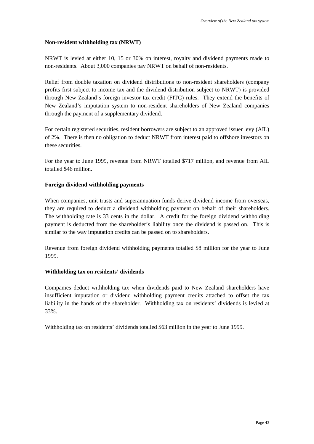### <span id="page-48-0"></span>**Non-resident withholding tax (NRWT)**

NRWT is levied at either 10, 15 or 30% on interest, royalty and dividend payments made to non-residents. About 3,000 companies pay NRWT on behalf of non-residents.

Relief from double taxation on dividend distributions to non-resident shareholders (company profits first subject to income tax and the dividend distribution subject to NRWT) is provided through New Zealand's foreign investor tax credit (FITC) rules. They extend the benefits of New Zealand's imputation system to non-resident shareholders of New Zealand companies through the payment of a supplementary dividend.

For certain registered securities, resident borrowers are subject to an approved issuer levy (AIL) of 2%. There is then no obligation to deduct NRWT from interest paid to offshore investors on these securities.

For the year to June 1999, revenue from NRWT totalled \$717 million, and revenue from AIL totalled \$46 million.

### **Foreign dividend withholding payments**

When companies, unit trusts and superannuation funds derive dividend income from overseas, they are required to deduct a dividend withholding payment on behalf of their shareholders. The withholding rate is 33 cents in the dollar. A credit for the foreign dividend withholding payment is deducted from the shareholder's liability once the dividend is passed on. This is similar to the way imputation credits can be passed on to shareholders.

Revenue from foreign dividend withholding payments totalled \$8 million for the year to June 1999.

### **Withholding tax on residents' dividends**

Companies deduct withholding tax when dividends paid to New Zealand shareholders have insufficient imputation or dividend withholding payment credits attached to offset the tax liability in the hands of the shareholder. Withholding tax on residents' dividends is levied at 33%.

Withholding tax on residents' dividends totalled \$63 million in the year to June 1999.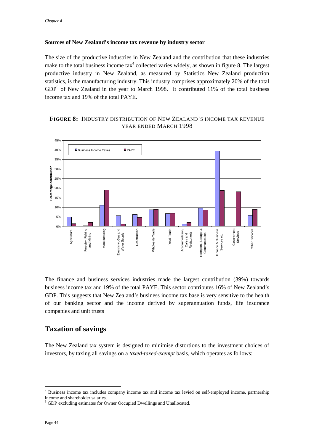### <span id="page-49-0"></span>**Sources of New Zealand's income tax revenue by industry sector**

The size of the productive industries in New Zealand and the contribution that these industries make to the total business income  $\text{tax}^4$  collected varies widely, as shown in figure 8. The largest productive industry in New Zealand, as measured by Statistics New Zealand production statistics, is the manufacturing industry. This industry comprises approximately 20% of the total  $GDP<sup>5</sup>$  of New Zealand in the year to March 1998. It contributed 11% of the total business income tax and 19% of the total PAYE.

## **FIGURE 8:** INDUSTRY DISTRIBUTION OF NEW ZEALAND'S INCOME TAX REVENUE YEAR ENDED MARCH 1998

![](_page_49_Figure_4.jpeg)

The finance and business services industries made the largest contribution (39%) towards business income tax and 19% of the total PAYE. This sector contributes 16% of New Zealand's GDP. This suggests that New Zealand's business income tax base is very sensitive to the health of our banking sector and the income derived by superannuation funds, life insurance companies and unit trusts

## **Taxation of savings**

The New Zealand tax system is designed to minimise distortions to the investment choices of investors, by taxing all savings on a *taxed-taxed-exempt* basis, which operates as follows:

 $\overline{a}$ 

<sup>&</sup>lt;sup>4</sup> Business income tax includes company income tax and income tax levied on self-employed income, partnership income and shareholder salaries.

<sup>&</sup>lt;sup>5</sup> GDP excluding estimates for Owner Occupied Dwellings and Unallocated.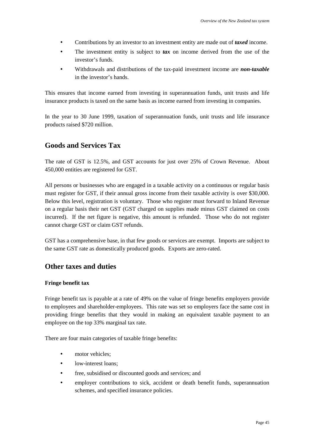- <span id="page-50-0"></span>• Contributions by an investor to an investment entity are made out of *taxed* income.
- The investment entity is subject to **tax** on income derived from the use of the investor's funds.
- Withdrawals and distributions of the tax-paid investment income are *non-taxable* in the investor's hands.

This ensures that income earned from investing in superannuation funds, unit trusts and life insurance products is taxed on the same basis as income earned from investing in companies.

In the year to 30 June 1999, taxation of superannuation funds, unit trusts and life insurance products raised \$720 million.

## **Goods and Services Tax**

The rate of GST is 12.5%, and GST accounts for just over 25% of Crown Revenue. About 450,000 entities are registered for GST.

All persons or businesses who are engaged in a taxable activity on a continuous or regular basis must register for GST, if their annual gross income from their taxable activity is over \$30,000. Below this level, registration is voluntary. Those who register must forward to Inland Revenue on a regular basis their net GST (GST charged on supplies made minus GST claimed on costs incurred). If the net figure is negative, this amount is refunded. Those who do not register cannot charge GST or claim GST refunds.

GST has a comprehensive base, in that few goods or services are exempt. Imports are subject to the same GST rate as domestically produced goods. Exports are zero-rated.

## **Other taxes and duties**

### **Fringe benefit tax**

Fringe benefit tax is payable at a rate of 49% on the value of fringe benefits employers provide to employees and shareholder-employees. This rate was set so employers face the same cost in providing fringe benefits that they would in making an equivalent taxable payment to an employee on the top 33% marginal tax rate.

There are four main categories of taxable fringe benefits:

- motor vehicles;
- low-interest loans;
- free, subsidised or discounted goods and services; and
- employer contributions to sick, accident or death benefit funds, superannuation schemes, and specified insurance policies.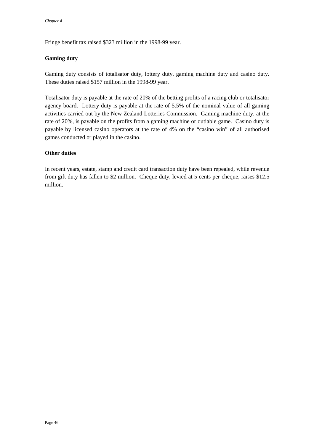<span id="page-51-0"></span>Fringe benefit tax raised \$323 million in the 1998-99 year.

## **Gaming duty**

Gaming duty consists of totalisator duty, lottery duty, gaming machine duty and casino duty. These duties raised \$157 million in the 1998-99 year.

Totalisator duty is payable at the rate of 20% of the betting profits of a racing club or totalisator agency board. Lottery duty is payable at the rate of 5.5% of the nominal value of all gaming activities carried out by the New Zealand Lotteries Commission. Gaming machine duty, at the rate of 20%, is payable on the profits from a gaming machine or dutiable game. Casino duty is payable by licensed casino operators at the rate of 4% on the "casino win" of all authorised games conducted or played in the casino.

## **Other duties**

In recent years, estate, stamp and credit card transaction duty have been repealed, while revenue from gift duty has fallen to \$2 million. Cheque duty, levied at 5 cents per cheque, raises \$12.5 million.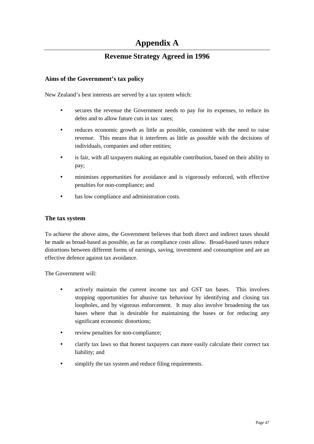# **Appendix A**

## **Revenue Strategy Agreed in 1996**

## <span id="page-52-0"></span>**Aims of the Government's tax policy**

New Zealand's best interests are served by a tax system which:

- secures the revenue the Government needs to pay for its expenses, to reduce its debts and to allow future cuts in tax rates;
- reduces economic growth as little as possible, consistent with the need to raise revenue. This means that it interferes as little as possible with the decisions of individuals, companies and other entities;
- is fair, with all taxpayers making an equitable contribution, based on their ability to pay;
- minimises opportunities for avoidance and is vigorously enforced, with effective penalties for non-compliance; and
- has low compliance and administration costs.

## **The tax system**

To achieve the above aims, the Government believes that both direct and indirect taxes should be made as broad-based as possible, as far as compliance costs allow. Broad-based taxes reduce distortions between different forms of earnings, saving, investment and consumption and are an effective defence against tax avoidance.

The Government will:

- actively maintain the current income tax and GST tax bases. This involves stopping opportunities for abusive tax behaviour by identifying and closing tax loopholes, and by vigorous enforcement. It may also involve broadening the tax bases where that is desirable for maintaining the bases or for reducing any significant economic distortions;
- review penalties for non-compliance;
- clarify tax laws so that honest taxpayers can more easily calculate their correct tax liability; and
- simplify the tax system and reduce filing requirements.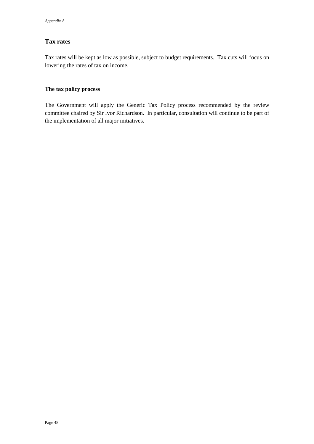## **Tax rates**

Tax rates will be kept as low as possible, subject to budget requirements. Tax cuts will focus on lowering the rates of tax on income.

## **The tax policy process**

The Government will apply the Generic Tax Policy process recommended by the review committee chaired by Sir Ivor Richardson. In particular, consultation will continue to be part of the implementation of all major initiatives.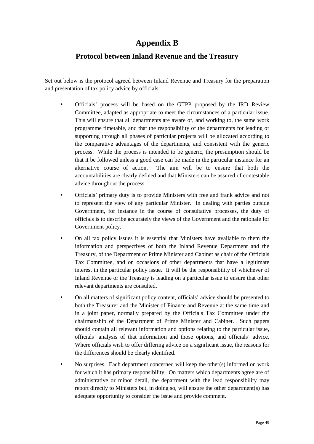# **Protocol between Inland Revenue and the Treasury**

<span id="page-54-0"></span>Set out below is the protocol agreed between Inland Revenue and Treasury for the preparation and presentation of tax policy advice by officials:

- Officials' process will be based on the GTPP proposed by the IRD Review Committee, adapted as appropriate to meet the circumstances of a particular issue. This will ensure that all departments are aware of, and working to, the same work programme timetable, and that the responsibility of the departments for leading or supporting through all phases of particular projects will be allocated according to the comparative advantages of the departments, and consistent with the generic process. While the process is intended to be generic, the presumption should be that it be followed unless a good case can be made in the particular instance for an alternative course of action. The aim will be to ensure that both the accountabilities are clearly defined and that Ministers can be assured of contestable advice throughout the process.
- Officials' primary duty is to provide Ministers with free and frank advice and not to represent the view of any particular Minister. In dealing with parties outside Government, for instance in the course of consultative processes, the duty of officials is to describe accurately the views of the Government and the rationale for Government policy.
- On all tax policy issues it is essential that Ministers have available to them the information and perspectives of both the Inland Revenue Department and the Treasury, of the Department of Prime Minister and Cabinet as chair of the Officials Tax Committee, and on occasions of other departments that have a legitimate interest in the particular policy issue. It will be the responsibility of whichever of Inland Revenue or the Treasury is leading on a particular issue to ensure that other relevant departments are consulted.
- On all matters of significant policy content, officials' advice should be presented to both the Treasurer and the Minister of Finance and Revenue at the same time and in a joint paper, normally prepared by the Officials Tax Committee under the chairmanship of the Department of Prime Minister and Cabinet. Such papers should contain all relevant information and options relating to the particular issue, officials' analysis of that information and those options, and officials' advice. Where officials wish to offer differing advice on a significant issue, the reasons for the differences should be clearly identified.
- No surprises. Each department concerned will keep the other(s) informed on work for which it has primary responsibility. On matters which departments agree are of administrative or minor detail, the department with the lead responsibility may report directly to Ministers but, in doing so, will ensure the other department(s) has adequate opportunity to consider the issue and provide comment.